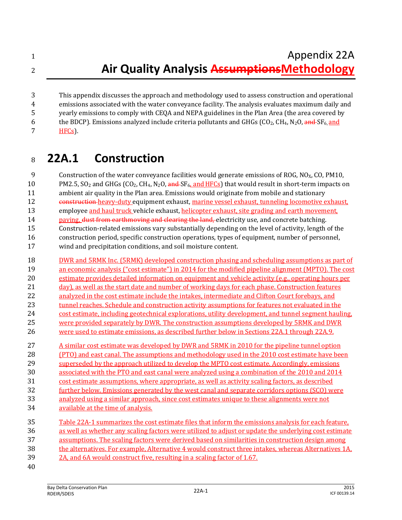Appendix 22A **Air Quality Analysis AssumptionsMethodology**

 This appendix discusses the approach and methodology used to assess construction and operational emissions associated with the water conveyance facility. The analysis evaluates maximum daily and yearly emissions to comply with CEQA and NEPA guidelines in the Plan Area (the area covered by 6 the BDCP). Emissions analyzed include criteria pollutants and GHGs (CO<sub>2</sub>, CH<sub>4</sub>, N<sub>2</sub>O, and SF<sub>6</sub>, and HFCs).

## **22A.1 Construction**

9 Construction of the water conveyance facilities would generate emissions of ROG,  $NQ_X$ , CO, PM10, 10 PM2.5,  $SO_2$  and GHGs ( $CO_2$ ,  $CH_4$ ,  $N_2O$ ,  $\frac{and}{S}F_6$ , and HFCs) that would result in short-term impacts on ambient air quality in the Plan area. Emissions would originate from mobile and stationary 12 construction heavy-duty equipment exhaust, marine vessel exhaust, tunneling locomotive exhaust, 13 employee and haul truck vehicle exhaust, helicopter exhaust, site grading and earth movement, 14 paving, dust from earthmoving and clearing the land, electricity use, and concrete batching. Construction-related emissions vary substantially depending on the level of activity, length of the construction period, specific construction operations, types of equipment, number of personnel, wind and precipitation conditions, and soil moisture content. DWR and 5RMK Inc. (5RMK) developed construction phasing and scheduling assumptions as part of an economic analysis ("cost estimate") in 2014 for the modified pipeline alignment (MPTO). The cost estimate provides detailed information on equipment and vehicle activity (e.g., operating hours per 21 day), as well as the start date and number of working days for each phase. Construction features 22 analyzed in the cost estimate include the intakes, intermediate and Clifton Court forebays, and 23 tunnel reaches. Schedule and construction activity assumptions for features not evaluated in the cost estimate, including geotechnical explorations, utility development, and tunnel segment hauling, were provided separately by DWR. The construction assumptions developed by 5RMK and DWR were used to estimate emissions, as described further below in Sections 22A.1 through 22A.9. 27 A similar cost estimate was developed by DWR and 5RMK in 2010 for the pipeline tunnel option (PTO) and east canal. The assumptions and methodology used in the 2010 cost estimate have been 29 superseded by the approach utilized to develop the MPTO cost estimate. Accordingly, emissions associated with the PTO and east canal were analyzed using a combination of the 2010 and 2014 cost estimate assumptions, where appropriate, as well as activity scaling factors, as described further below. Emissions generated by the west canal and separate corridors options (SCO) were analyzed using a similar approach, since cost estimates unique to these alignments were not available at the time of analysis. Table 22A-1 summarizes the cost estimate files that inform the emissions analysis for each feature, as well as whether any scaling factors were utilized to adjust or update the underlying cost estimate assumptions. The scaling factors were derived based on similarities in construction design among the alternatives. For example, Alternative 4 would construct three intakes, whereas Alternatives 1A, 2A, and 6A would construct five, resulting in a scaling factor of 1.67.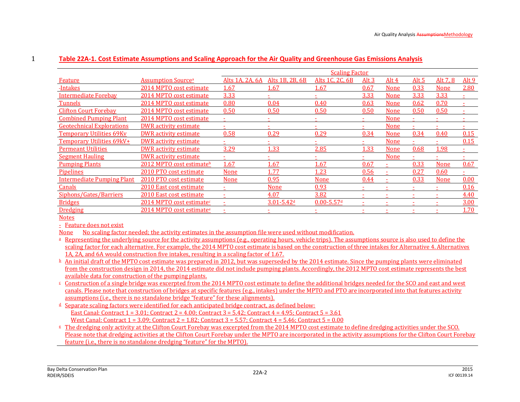|                                   |                                       | <b>Scaling Factor</b> |                            |                            |         |                          |       |             |              |
|-----------------------------------|---------------------------------------|-----------------------|----------------------------|----------------------------|---------|--------------------------|-------|-------------|--------------|
| Feature                           | <b>Assumption Source</b> <sup>a</sup> | Alts 1A, 2A, 6A       | Alts 1B, 2B, 6B            | Alts 1C, 2C, 6B            | Alt $3$ | Alt 4                    | Alt 5 | Alt 7, 8    | <u>Alt 9</u> |
| <u>-Intakes</u>                   | 2014 MPTO cost estimate               | 1.67                  | 1.67                       | 1.67                       | 0.67    | None                     | 0.33  | <b>None</b> | 2.80         |
| <b>Intermediate Forebay</b>       | 2014 MPTO cost estimate               | 3.33                  |                            |                            | 3.33    | None                     | 3.33  | 3.33        |              |
| <b>Tunnels</b>                    | 2014 MPTO cost estimate               | 0.80                  | 0.04                       | 0.40                       | 0.63    | None                     | 0.62  | 0.70        |              |
| <b>Clifton Court Forebay</b>      | 2014 MPTO cost estimate               | 0.50                  | 0.50                       | 0.50                       | 0.50    | None                     | 0.50  | 0.50        |              |
| <b>Combined Pumping Plant</b>     | 2014 MPTO cost estimate               |                       |                            |                            | ٠       | None                     |       |             |              |
| <b>Geotechnical Explorations</b>  | DWR activity estimate                 |                       |                            |                            |         | <b>None</b>              |       |             |              |
| <b>Temporary Utilities 69Kv</b>   | DWR activity estimate                 | 0.58                  | 0.29                       | 0.29                       | 0.34    | None                     | 0.34  | 0.40        | 0.15         |
| Temporary Utilities 69kV+         | DWR activity estimate                 |                       |                            |                            |         | None                     |       |             | 0.15         |
| <b>Permeant Utilities</b>         | DWR activity estimate                 | 3.29                  | 1.33                       | 2.85                       | 1.33    | None                     | 0.68  | 1.98        |              |
| <b>Segment Hauling</b>            | <b>DWR</b> activity estimate          |                       |                            |                            |         | None                     |       |             |              |
| <b>Pumping Plants</b>             | 2012 MPTO cost estimateb              | 1.67                  | 1.67                       | <u>1.67</u>                | 0.67    |                          | 0.33  | <b>None</b> | 0.67         |
| Pipelines                         | 2010 PTO cost estimate                | <b>None</b>           | 1.77                       | 1.23                       | 0.56    |                          | 0.27  | 0.60        |              |
| <b>Intermediate Pumping Plant</b> | 2010 PTO cost estimate                | <b>None</b>           | 0.95                       | <b>None</b>                | 0.44    |                          | 0.33  | <b>None</b> | 0.00         |
| Canals                            | 2010 East cost estimate               |                       | <b>None</b>                | 0.93                       |         |                          |       |             | 0.16         |
| Siphons/Gates/Barriers            | 2010 East cost estimate               | ٠                     | 4.07                       | 3.82                       | ٠       | $\overline{\phantom{a}}$ |       | ۰           | 4.40         |
| <b>Bridges</b>                    | 2014 MPTO cost estimate <sup>c</sup>  |                       | $3.01 - 5.42$ <sup>d</sup> | $0.00 - 5.57$ <sup>d</sup> | ٠       |                          |       |             | 3.00         |
| <b>Dredging</b>                   | 2014 MPTO cost estimate <sup>e</sup>  |                       |                            |                            |         |                          |       |             | 1.70         |
|                                   |                                       |                       |                            |                            |         |                          |       |             |              |

### 1 **Table 22A-1. Cost Estimate Assumptions and Scaling Approach for the Air Quality and Greenhouse Gas Emissions Analysis**

**Notes** 

- Feature does not exist

None No scaling factor needed; the activity estimates in the assumption file were used without modification.

<sup>a</sup> Representing the underlying source for the activity assumptions (e.g., operating hours, vehicle trips). The assumptions source is also used to define the scaling factor for each alternative. For example, the 2014 MPTO cost estimate is based on the construction of three intakes for Alternative 4. Alternatives 1A, 2A, and 6A would construction five intakes, resulting in a scaling factor of 1.67.

 $\Delta$  An initial draft of the MPTO cost estimate was prepared in 2012, but was superseded by the 2014 estimate. Since the pumping plants were eliminated from the construction design in 2014, the 2014 estimate did not include pumping plants. Accordingly, the 2012 MPTO cost estimate represents the best available data for construction of the pumping plants.

- $\epsilon$  Construction of a single bridge was excerpted from the 2014 MPTO cost estimate to define the additional bridges needed for the SCO and east and west canals. Please note that construction of bridges at specific features (e.g., intakes) under the MPTO and PTO are incorporated into that features activity assumptions (i.e., there is no standalone bridge "feature" for these alignments).
- $d$  Separate scaling factors were identified for each anticipated bridge contract, as defined below: East Canal: Contract  $1 = 3.01$ ; Contract  $2 = 4.00$ ; Contract  $3 = 5.42$ ; Contract  $4 = 4.95$ ; Contract  $5 = 3.61$ West Canal: Contract  $1 = 3.09$ : Contract  $2 = 1.82$ : Contract  $3 = 5.57$ : Contract  $4 = 5.46$ : Contract  $5 = 0.00$
- <sup>e</sup> The dredging only activity at the Clifton Court Forebay was excerpted from the 2014 MPTO cost estimate to define dredging activities under the SCO. Please note that dredging activities at the Clifton Court Forebay under the MPTO are incorporated in the activity assumptions for the Clifton Court Forebay feature (i.e., there is no standalone dredging "feature" for the MPTO).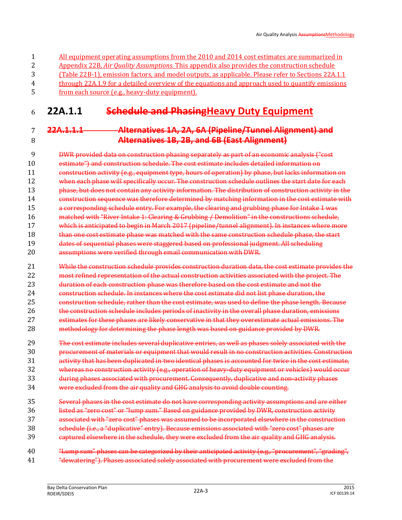| 1              | All equipment operating assumptions from the 2010 and 2014 cost estimates are summarized in         |
|----------------|-----------------------------------------------------------------------------------------------------|
| 2              | Appendix 22B, Air Quality Assumptions. This appendix also provides the construction schedule        |
| 3              | (Table 22B-1), emission factors, and model outputs, as applicable. Please refer to Sections 22A.1.1 |
| $\overline{4}$ | through 22A.1.9 for a detailed overview of the equations and approach used to quantify emissions    |
| .5.            | <u>from each source (e.g., heavy-duty equipment).</u>                                               |

## **22A.1.1 Schedule and PhasingHeavy Duty Equipment**

### **22A.1.1.1 Alternatives 1A, 2A, 6A (Pipeline/Tunnel Alignment) and Alternatives 1B, 2B, and 6B (East Alignment)**

 DWR provided data on construction phasing separately as part of an economic analysis ("cost estimate") and construction schedule. The cost estimate includes detailed information on 11 construction activity (e.g., equipment type, hours of operation) by phase, but lacks information on 12 when each phase will specifically occur. The construction schedule outlines the start date for each **phase, but does not contain any activity information. The distribution of construction activity in the**  construction sequence was therefore determined by matching information in the cost estimate with a corresponding schedule entry. For example, the clearing and grubbing phase for Intake 1 was matched with "River Intake 1: Clearing & Grubbing / Demolition" in the constructions schedule, which is anticipated to begin in March 2017 (pipeline/tunnel alignment). In instances where more 18 than one cost estimate phase was matched with the same construction schedule phase, the start dates of sequential phases were staggered based on professional judgment. All scheduling assumptions were verified through email communication with DWR.

 While the construction schedule provides construction duration data, the cost estimate provides the most refined representation of the actual construction activities associated with the project. The duration of each construction phase was therefore based on the cost estimate and not the construction schedule. In instances where the cost estimate did not list phase duration, the construction schedule, rather than the cost estimate, was used to define the phase length. Because the construction schedule includes periods of inactivity in the overall phase duration, emissions estimates for these phases are likely conservative in that they overestimate actual emissions. The methodology for determining the phase length was based on guidance provided by DWR.

 The cost estimate includes several duplicative entries, as well as phases solely associated with the procurement of materials or equipment that would result in no construction activities. Construction activity that has been duplicated in two identical phases is accounted for twice in the cost estimate, whereas no construction activity (e.g., operation of heavy-duty equipment or vehicles) would occur during phases associated with procurement. Consequently, duplicative and non-activity phases

- were excluded from the air quality and GHG analysis to avoid double counting.
- Several phases in the cost estimate do not have corresponding activity assumptions and are either listed as "zero cost" or "lump sum." Based on guidance provided by DWR, construction activity associated with "zero cost" phases was assumed to be incorporated elsewhere in the construction schedule (i.e., a "duplicative" entry). Because emissions associated with "zero cost" phases are captured elsewhere in the schedule, they were excluded from the air quality and GHG analysis.
- "Lump sum" phases can be categorized by their anticipated activity (e.g., "procurement", "grading", "dewatering"). Phases associated solely associated with procurement were excluded from the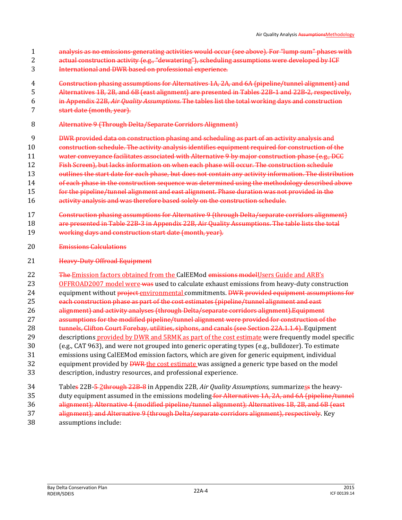- analysis as no emissions-generating activities would occur (see above). For "lump sum" phases with
- actual construction activity (e.g., "dewatering"), scheduling assumptions were developed by ICF
- International and DWR based on professional experience.
- Construction phasing assumptions for Alternatives 1A, 2A, and 6A (pipeline/tunnel alignment) and
- Alternatives 1B, 2B, and 6B (east alignment) are presented in Tables 22B-1 and 22B-2, respectively,
- in Appendix 22B, *Air Quality Assumptions.* The tables list the total working days and construction
- start date (month, year).
- Alternative 9 (Through Delta/Separate Corridors Alignment)
- DWR provided data on construction phasing and scheduling as part of an activity analysis and
- construction schedule. The activity analysis identifies equipment required for construction of the
- 11 water conveyance facilitates associated with Alternative 9 by major construction phase (e.g., DCC)
- Fish Screen), but lacks information on when each phase will occur. The construction schedule
- 13 outlines the start date for each phase, but does not contain any activity information. The distribution
- 14 of each phase in the construction sequence was determined using the methodology described above for the pipeline/tunnel alignment and east alignment. Phase duration was not provided in the
- activity analysis and was therefore based solely on the construction schedule.
- Construction phasing assumptions for Alternative 9 (through Delta/separate corridors alignment)
- 18 are presented in Table 22B-3 in Appendix 22B, Air Quality Assumptions. The table lists the total
- working days and construction start date (month, year).
- Emissions Calculations
- **Heavy-Duty Offroad Equipment**
- 22 The Emission factors obtained from the CalEEMod emissions model Users Guide and ARB's 23 OFFROAD2007 model were was used to calculate exhaust emissions from heavy-duty construction 24 equipment without project environmental commitments. DWR provided equipment assumptions for each construction phase as part of the cost estimates (pipeline/tunnel alignment and east 26 alignment) and activity analyses (through Delta/separate corridors alignment). Equipment assumptions for the modified pipeline/tunnel alignment were provided for construction of the 28 tunnels, Clifton Court Forebay, utilities, siphons, and canals (see Section 22A.1.1.4). Equipment descriptions provided by DWR and 5RMK as part of the cost estimate were frequently model specific (e.g., CAT 963), and were not grouped into generic operating types (e.g., bulldozer). To estimate emissions using CalEEMod emission factors, which are given for generic equipment, individual 32 equipment provided by **DWR** the cost estimate was assigned a generic type based on the model
- description, industry resources, and professional experience.
- Tables 22B-5 2through 22B-8 in Appendix 22B, *Air Quality Assumptions,* summarizess the heavy-35 duty equipment assumed in the emissions modeling for Alternatives 1A, 2A, and 6A (pipeline/tunnel) alignment); Alternative 4 (modified pipeline/tunnel alignment); Alternatives 1B, 2B, and 6B (east
- alignment); and Alternative 9 (through Delta/separate corridors alignment), respectively. Key assumptions include: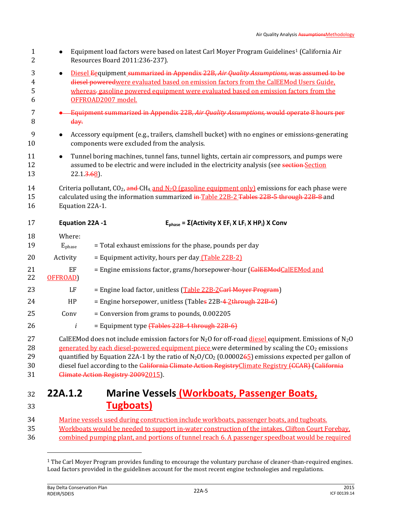| $\mathbf{1}$<br>2          |                        | Equipment load factors were based on latest Carl Moyer Program Guidelines <sup>1</sup> (California Air<br>Resources Board 2011:236-237).                                                                                                                                                                                                                                                                                                                                                        |
|----------------------------|------------------------|-------------------------------------------------------------------------------------------------------------------------------------------------------------------------------------------------------------------------------------------------------------------------------------------------------------------------------------------------------------------------------------------------------------------------------------------------------------------------------------------------|
| 3<br>4<br>5<br>6           | $\bullet$              | Diesel Eequipment summarized in Appendix 22B, Air Quality Assumptions, was assumed to be<br>diesel poweredwere evaluated based on emission factors from the CalEEMod Users Guide.<br>whereas-gasoline powered equipment were evaluated based on emission factors from the<br>OFFROAD2007 model.                                                                                                                                                                                                 |
| $\overline{7}$<br>8        | day.                   | Equipment summarized in Appendix 22B, Air Quality Assumptions, would operate 8 hours per                                                                                                                                                                                                                                                                                                                                                                                                        |
| 9<br>10                    |                        | Accessory equipment (e.g., trailers, clamshell bucket) with no engines or emissions-generating<br>components were excluded from the analysis.                                                                                                                                                                                                                                                                                                                                                   |
| 11<br>12<br>13             | $22.1 \frac{3.68}{2}.$ | Tunnel boring machines, tunnel fans, tunnel lights, certain air compressors, and pumps were<br>assumed to be electric and were included in the electricity analysis (see section Section                                                                                                                                                                                                                                                                                                        |
| 14<br>15<br>16             | Equation 22A-1.        | Criteria pollutant, $CO_2$ , and $CH_4$ and $N_2O$ (gasoline equipment only) emissions for each phase were<br>calculated using the information summarized in Table 22B-2 Tables 22B-5 through 22B-8 and                                                                                                                                                                                                                                                                                         |
| 17                         | Equation 22A -1        | $E_{phase} = \Sigma (Activity X EF_i X LF_i X HP_i) X Conv$                                                                                                                                                                                                                                                                                                                                                                                                                                     |
| 18<br>19                   | Where:<br>$E_{phase}$  | = Total exhaust emissions for the phase, pounds per day                                                                                                                                                                                                                                                                                                                                                                                                                                         |
| 20                         | Activity               | = Equipment activity, hours per day (Table 22B-2)                                                                                                                                                                                                                                                                                                                                                                                                                                               |
| 21<br>22                   | EF<br>OFFROAD)         | = Engine emissions factor, grams/horsepower-hour (CalEEModCalEEMod and                                                                                                                                                                                                                                                                                                                                                                                                                          |
| 23                         | LF                     | = Engine load factor, unitless (Table 22B-2Carl Moyer Program)                                                                                                                                                                                                                                                                                                                                                                                                                                  |
| 24                         | HP                     | = Engine horsepower, unitless (Tables 22B-4-2through 22B-6)                                                                                                                                                                                                                                                                                                                                                                                                                                     |
| 25                         | Conv                   | = Conversion from grams to pounds, 0.002205                                                                                                                                                                                                                                                                                                                                                                                                                                                     |
| 26                         | i                      | = Equipment type (Tables 22B-4 through 22B-6)                                                                                                                                                                                                                                                                                                                                                                                                                                                   |
| 27<br>28<br>29<br>30<br>31 |                        | CalEEMod does not include emission factors for N <sub>2</sub> O for off-road diesel equipment. Emissions of N <sub>2</sub> O<br>generated by each diesel-powered equipment piece were determined by scaling the CO <sub>2</sub> emissions<br>quantified by Equation 22A-1 by the ratio of $N_2O/CO_2$ (0.0000265) emissions expected per gallon of<br>diesel fuel according to the California Climate Action Registry Climate Registry (CCAR) (California<br>Climate Action Registry 20092015). |
| 32<br>33                   | 22A.1.2                | <b>Marine Vessels (Workboats, Passenger Boats,</b><br><b>Tugboats</b>                                                                                                                                                                                                                                                                                                                                                                                                                           |
| $\Omega$                   |                        |                                                                                                                                                                                                                                                                                                                                                                                                                                                                                                 |

 $\overline{a}$ 

<sup>34</sup> Marine vessels used during construction include workboats, passenger boats, and tugboats. 35 Workboats would be needed to support in-water construction of the intakes, Clifton Court Forebay, 36 combined pumping plant, and portions of tunnel reach 6. A passenger speedboat would be required

<sup>1</sup> The Carl Moyer Program provides funding to encourage the voluntary purchase of cleaner-than-required engines. Load factors provided in the guidelines account for the most recent engine technologies and regulations.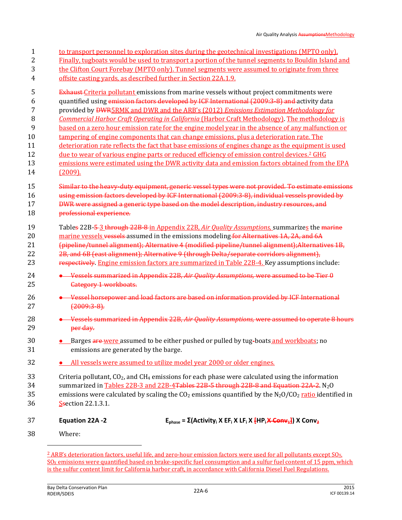| $\mathbf{1}$        |                                                                 | to transport personnel to exploration sites during the geotechnical investigations (MPTO only).                                                                                                              |
|---------------------|-----------------------------------------------------------------|--------------------------------------------------------------------------------------------------------------------------------------------------------------------------------------------------------------|
| $\overline{2}$<br>3 |                                                                 | Finally, tugboats would be used to transport a portion of the tunnel segments to Bouldin Island and<br>the Clifton Court Forebay (MPTO only). Tunnel segments were assumed to originate from three           |
| 4                   | offsite casting vards, as described further in Section 22A.1.9. |                                                                                                                                                                                                              |
| 5                   |                                                                 | <b>Exhaust-Criteria pollutant emissions from marine vessels without project commitments were</b>                                                                                                             |
| 6                   |                                                                 | quantified using emission factors developed by ICF International (2009:3-8) and activity data                                                                                                                |
| 7<br>8              |                                                                 | provided by <b>DWR5RMK</b> and DWR and the ARB's (2012) <i>Emissions Estimation Methodology for</i><br><b>Commercial Harbor Craft Operating in California (Harbor Craft Methodology). The methodology is</b> |
| 9                   |                                                                 | based on a zero hour emission rate for the engine model year in the absence of any malfunction or                                                                                                            |
| 10                  |                                                                 | tampering of engine components that can change emissions, plus a deterioration rate. The                                                                                                                     |
| 11                  |                                                                 | deterioration rate reflects the fact that base emissions of engines change as the equipment is used                                                                                                          |
| 12                  |                                                                 | <u>due to wear of various engine parts or reduced efficiency of emission control devices.<sup>2</sup> GHG</u>                                                                                                |
| 13                  |                                                                 | emissions were estimated using the DWR activity data and emission factors obtained from the EPA                                                                                                              |
| 14                  | (2009).                                                         |                                                                                                                                                                                                              |
| 15                  |                                                                 | Similar to the heavy duty equipment, generic vessel types were not provided. To estimate emissions                                                                                                           |
| 16                  |                                                                 | using emission factors developed by ICF International (2009:3-8), individual vessels provided by                                                                                                             |
| 17                  |                                                                 | DWR were assigned a generic type based on the model description, industry resources, and                                                                                                                     |
| 18                  | professional experience.                                        |                                                                                                                                                                                                              |
| 19                  |                                                                 | Tables 22B-5-3 through 22B-8-in Appendix 22B, Air Quality Assumptions, summarizes the marine                                                                                                                 |
| 20                  |                                                                 | marine vessels vessels assumed in the emissions modeling for Alternatives 1A, 2A, and 6A                                                                                                                     |
| 21                  |                                                                 | (pipeline/tunnel alignment); Alternative 4 (modified pipeline/tunnel alignment); Alternatives 1B,                                                                                                            |
| 22                  |                                                                 | 2B, and 6B (east alignment); Alternative 9 (through Delta/separate corridors alignment),                                                                                                                     |
| 23                  |                                                                 | respectively. Engine emission factors are summarized in Table 22B-4. Key assumptions include:                                                                                                                |
| 24<br>25            | Category 1 workboats.                                           | • Vessels summarized in Appendix 22B, Air Quality Assumptions, were assumed to be Tier 0                                                                                                                     |
| 26<br>27            | $(2009:3-8)$ .                                                  | • Vessel horsepower and load factors are based on information provided by ICF International                                                                                                                  |
| 28                  |                                                                 | • Vessels summarized in Appendix 22B, Air Quality Assumptions, were assumed to operate 8 hours                                                                                                               |
| 29                  | per day.                                                        |                                                                                                                                                                                                              |
| $30\,$<br>31        | emissions are generated by the barge.                           | • Barges are were assumed to be either pushed or pulled by tug-boats and workboats; no                                                                                                                       |
| 32                  |                                                                 | • All vessels were assumed to utilize model year 2000 or older engines.                                                                                                                                      |
| 33                  |                                                                 | Criteria pollutant, $CO2$ , and CH <sub>4</sub> emissions for each phase were calculated using the information                                                                                               |
| 34                  |                                                                 | summarized in Tables 22B-3 and 22B-4Tables 22B-5 through 22B-8 and Equation 22A-2. N <sub>2</sub> O                                                                                                          |
| 35                  |                                                                 | emissions were calculated by scaling the $CO2$ emissions quantified by the N <sub>2</sub> O/CO <sub>2</sub> ratio identified in                                                                              |
| 36                  | Ssection 22.1.3.1.                                              |                                                                                                                                                                                                              |
| 37                  | Equation 22A -2                                                 | $E_{phase} = \Sigma (Activityi X EFi X LFi Y FHPi X Comv4)) X Conv2$                                                                                                                                         |
| 38                  | Where:                                                          |                                                                                                                                                                                                              |

 $\overline{\phantom{0}}$ 

 $2$  ARB's deterioration factors, useful life, and zero-hour emission factors were used for all pollutants except  $SO_x$ .  $SO<sub>x</sub>$  emissions were quantified based on brake-specific fuel consumption and a sulfur fuel content of 15 ppm, which is the sulfur content limit for California harbor craft, in accordance with California Diesel Fuel Regulations.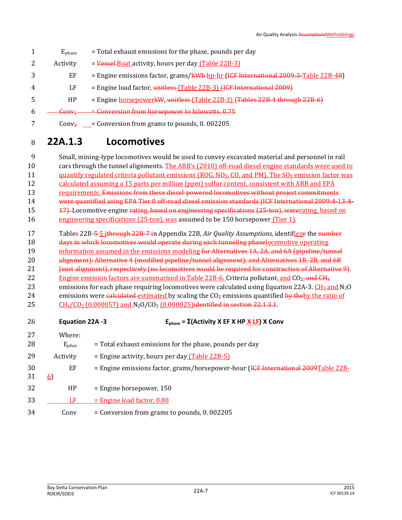- $1 \tE<sub>phase</sub>$  = Total exhaust emissions for the phase, pounds per day 2 Activity  $=$  Vessel Boat activity, hours per day (Table 22B-3)  $3 \qquad \qquad EF \qquad =$  Engine emissions factor, grams/ $kWh$ -hp-hr (I<del>CF International 2009:3-</del>Table 22B-48) 4 LF = Engine load factor, unitless (Table 22B-3) (ICF International 2009)  $5$  HP = Engine horsepowerkW, unitless (Table 22B-3) (Tables 22B-4 through 22B-6)  $6 \quad - \quad$  Conv<sub>1</sub>  $\quad - \quad$  Conversion from horsepower to kilowatts, 0.75
- $7 \qquad \qquad$  Conv<sub>2</sub> = Conversion from grams to pounds, 0.002205

## <sup>8</sup> **22A.1.3 Locomotives**

9 Small, mining-type locomotives would be used to convey excavated material and personnel in rail 10 cars through the tunnel alignments. The ARB's (2010) off-road diesel engine standards were used to 11 quantify regulated criteria pollutant emissions (ROG, NO<sub>x</sub>, CO, and PM). The SO<sub>x</sub> emission factor was 12 calculated assuming a 15 parts per million (ppm) sulfur content, consistent with ARB and EPA 13 requirements. Emissions from these diesel-powered locomotives without project commitments 14 were quantified using EPA Tier 0 off-road diesel emission standards (ICF International 2009:4-13-4- 15 17). Locomotive engine rating, based on engineering specifications (25-ton), wererating, based on

- 16 engineering specifications (25-ton), was assumed to be 150 horsepower (Tier 1).
- 17 Tables 22B-5 5 ithrough 22B-7 in Appendix 22B, *Air Quality Assumptions,* identifiesy the number
- 18 days in which locomotives would operate during each tunneling phaselocomotive operating
- 19 information assumed in the emissions modeling for Alternatives 1A, 2A, and 6A (pipeline/tunnel
- 20 alignment); Alternative 4 (modified pipeline/tunnel alignment); and Alternatives 1B, 2B, and 6B
- 21 (east alignment), respectively (no locomotives would be required for construction of Alternative 9).
- 22 Engine emission factors are summarized in Table 22B-6. Criteria pollutant<sub>i</sub> and  $CO<sub>2</sub>$ , and CH<sub>4</sub> 23 emissions for each phase requiring locomotives were calculated using Equation 22A-3.  $CH_4$  and N<sub>2</sub>O
- 24 emissions were calculated estimated by scaling the  $CO<sub>2</sub>$  emissions quantified by the ratio of
- 25 CH<sub>4</sub>/CO<sub>2</sub> (0.000057) and N<sub>2</sub>O/CO<sub>2</sub> (0.000025)identified in section 22.1.3.1.

| 26       | Equation 22A -3          | $E_{phase} = \Sigma (Activity X EF X HP \times LF) X Conv$                         |
|----------|--------------------------|------------------------------------------------------------------------------------|
| 27<br>28 | Where:<br>$E_{\rm phas}$ | = Total exhaust emissions for the phase, pounds per day                            |
| 29       | Activity                 | = Engine activity, hours per day $(Table 22B-5)$                                   |
| 30<br>31 | EF<br><u>6</u>           | = Engine emissions factor, grams/horsepower-hour (ICF International 2009Table 22B- |
| 32       | HP                       | $=$ Engine horsepower, 150                                                         |
| 33       | LF                       | $=$ Engine load factor, 0.80                                                       |
| 34       | Conv                     | $=$ Conversion from grams to pounds, 0. 002205                                     |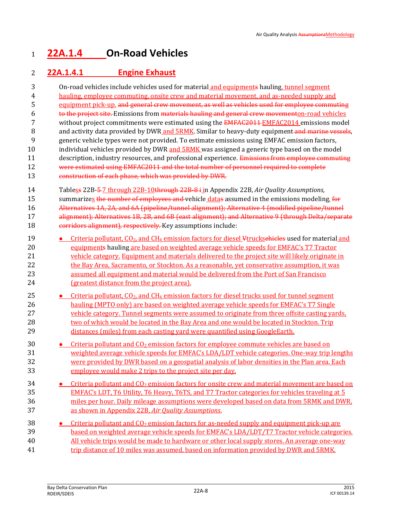## **22A.1.4 On-Road Vehicles**

### **22A.1.4.1 Engine Exhaust**

| 3                          | On-road vehicles include vehicles used for material and equipments hauling, tunnel segment                                                                                                                                                                                                                                                                                                                                                                       |
|----------------------------|------------------------------------------------------------------------------------------------------------------------------------------------------------------------------------------------------------------------------------------------------------------------------------------------------------------------------------------------------------------------------------------------------------------------------------------------------------------|
| $\overline{4}$             | hauling, employee commuting, onsite crew and material movement, and as-needed supply and                                                                                                                                                                                                                                                                                                                                                                         |
| 5                          | equipment pick-up, and general crew movement, as well as vehicles used for employee commuting                                                                                                                                                                                                                                                                                                                                                                    |
| 6                          | to the project site. Emissions from materials hauling and general crew movementon-road vehicles                                                                                                                                                                                                                                                                                                                                                                  |
| 7                          | without project commitments were estimated using the EMFAC2011 EMFAC2014 emissions model                                                                                                                                                                                                                                                                                                                                                                         |
| 8                          | and activity data provided by DWR and 5RMK. Similar to heavy-duty equipment-and marine vessels,                                                                                                                                                                                                                                                                                                                                                                  |
| 9                          | generic vehicle types were not provided. To estimate emissions using EMFAC emission factors,                                                                                                                                                                                                                                                                                                                                                                     |
| 10                         | individual vehicles provided by DWR and 5RMK was assigned a generic type based on the model                                                                                                                                                                                                                                                                                                                                                                      |
| 11                         | description, industry resources, and professional experience. Emissions from employee commuting                                                                                                                                                                                                                                                                                                                                                                  |
| 12                         | were estimated using EMFAC2011 and the total number of personnel required to complete                                                                                                                                                                                                                                                                                                                                                                            |
| 13                         | construction of each phase, which was provided by DWR.                                                                                                                                                                                                                                                                                                                                                                                                           |
| 14<br>15<br>16<br>17<br>18 | Tabless 22B-5-7 through 22B-10through 22B-8+ in Appendix 22B, Air Quality Assumptions,<br>summarizes the number of employees and vehicle datas assumed in the emissions modeling. for<br>Alternatives 1A, 2A, and 6A (pipeline/tunnel alignment); Alternative 4 (modified pipeline/tunnel<br>alignment); Alternatives 1B, 2B, and 6B (east alignment); and Alternative 9 (through Delta/separate<br>corridors alignment), respectively. Key assumptions include: |
| 19                         | Criteria pollutant, CO <sub>2</sub> , and CH <sub>4</sub> emission factors for diesel Vtrucksehicles used for material and                                                                                                                                                                                                                                                                                                                                       |
| 20                         | equipments hauling are based on weighted average vehicle speeds for EMFAC's T7 Tractor                                                                                                                                                                                                                                                                                                                                                                           |
| 21                         | vehicle category. Equipment and materials delivered to the project site will likely originate in                                                                                                                                                                                                                                                                                                                                                                 |
| 22                         | the Bay Area, Sacramento, or Stockton. As a reasonable, yet conservative assumption, it was                                                                                                                                                                                                                                                                                                                                                                      |
| 23                         | assumed all equipment and material would be delivered from the Port of San Francisco                                                                                                                                                                                                                                                                                                                                                                             |
| 24                         | (greatest distance from the project area).                                                                                                                                                                                                                                                                                                                                                                                                                       |
| 25                         | Criteria pollutant, $CO2$ , and $CH4$ emission factors for diesel trucks used for tunnel segment                                                                                                                                                                                                                                                                                                                                                                 |
| 26                         | hauling (MPTO only) are based on weighted average vehicle speeds for EMFAC's T7 Single                                                                                                                                                                                                                                                                                                                                                                           |
| 27                         | vehicle category. Tunnel segments were assumed to originate from three offsite casting yards,                                                                                                                                                                                                                                                                                                                                                                    |
| 28                         | two of which would be located in the Bay Area and one would be located in Stockton. Trip                                                                                                                                                                                                                                                                                                                                                                         |
| 29                         | distances (miles) from each casting yard were quantified using GoogleEarth.                                                                                                                                                                                                                                                                                                                                                                                      |
| 30                         | Criteria pollutant and $CO2$ emission factors for employee commute vehicles are based on<br>$\bullet$                                                                                                                                                                                                                                                                                                                                                            |
| 31                         | weighted average vehicle speeds for EMFAC's LDA/LDT vehicle categories. One-way trip lengths                                                                                                                                                                                                                                                                                                                                                                     |
| 32                         | were provided by DWR based on a geospatial analysis of labor densities in the Plan area. Each                                                                                                                                                                                                                                                                                                                                                                    |
| 33                         | employee would make 2 trips to the project site per day.                                                                                                                                                                                                                                                                                                                                                                                                         |
| 34                         | • Criteria pollutant and CO <sub>2</sub> emission factors for onsite crew and material movement are based on                                                                                                                                                                                                                                                                                                                                                     |
| 35                         | EMFAC's LDT, T6 Utility, T6 Heavy, T6TS, and T7 Tractor categories for vehicles traveling at 5                                                                                                                                                                                                                                                                                                                                                                   |
| 36                         | miles per hour. Daily mileage assumptions were developed based on data from 5RMK and DWR.                                                                                                                                                                                                                                                                                                                                                                        |
| 37                         | as shown in Appendix 22B, Air Quality Assumptions.                                                                                                                                                                                                                                                                                                                                                                                                               |
| 38                         | • Criteria pollutant and $CO2$ emission factors for as-needed supply and equipment pick-up are                                                                                                                                                                                                                                                                                                                                                                   |
| 39                         | based on weighted average vehicle speeds for EMFAC's LDA/LDT/T7 Tractor vehicle categories.                                                                                                                                                                                                                                                                                                                                                                      |
| 40                         | All vehicle trips would be made to hardware or other local supply stores. An average one-way                                                                                                                                                                                                                                                                                                                                                                     |
| 41                         | trip distance of 10 miles was assumed, based on information provided by DWR and 5RMK.                                                                                                                                                                                                                                                                                                                                                                            |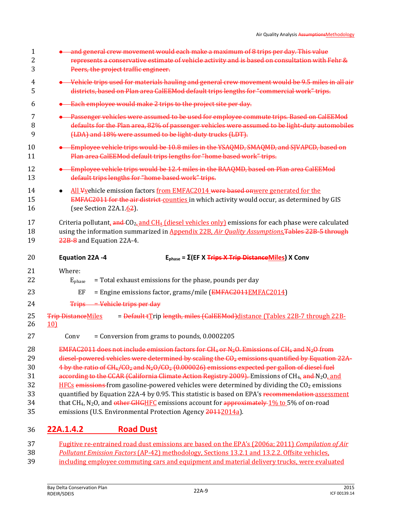| 1<br>2<br>3    | and general crew movement would each make a maximum of 8 trips per day. This value<br>represents a conservative estimate of vehicle activity and is based on consultation with Fehr &<br>Peers, the project traffic engineer.                              |
|----------------|------------------------------------------------------------------------------------------------------------------------------------------------------------------------------------------------------------------------------------------------------------|
| 4<br>5         | • Vehicle trips used for materials hauling and general crew movement would be 9.5 miles in all air<br>districts, based on Plan area CalEEMod default trips lengths for "commercial work" trips.                                                            |
| 6              | • Each employee would make 2 trips to the project site per day.                                                                                                                                                                                            |
| 7<br>8<br>9    | • Passenger vehicles were assumed to be used for employee commute trips. Based on CalEEMod<br>defaults for the Plan area, 82% of passenger vehicles were assumed to be light-duty automobiles<br>(LDA) and 18% were assumed to be light-duty trucks (LDT). |
| 10<br>11       | Employee vehicle trips would be 10.8 miles in the YSAQMD, SMAQMD, and SJVAPCD, based on<br>Plan area CalEEMod default trips lengths for "home based work" trips.                                                                                           |
| 12<br>13       | • Employee vehicle trips would be 12.4 miles in the BAAQMD, based on Plan area CalEEMod<br>default trips lengths for "home based work" trips.                                                                                                              |
| 14<br>15<br>16 | All Vyehicle emission factors from EMFAC2014 were based onwere generated for the<br>EMFAC2011 for the air district counties in which activity would occur, as determined by GIS<br>(see Section 22A.1. $62$ ).                                             |
| 17<br>18<br>19 | Criteria pollutant, and $CO2$ and CH <sub>4</sub> (diesel vehicles only) emissions for each phase were calculated<br>using the information summarized in Appendix 22B, Air Quality Assumptions, Tables 22B-5 through<br>22B-8 and Equation 22A-4.          |
| 20             | <b>Equation 22A -4</b><br>$E_{phase} = \Sigma (EF X Trips X Trip DistanceMiles) X Conv$                                                                                                                                                                    |
| 21             | Where:                                                                                                                                                                                                                                                     |
| 22             | = Total exhaust emissions for the phase, pounds per day<br>Ephase                                                                                                                                                                                          |
| 23             | EF<br>= Engine emissions factor, grams/mile (EMFAC2011EMFAC2014)                                                                                                                                                                                           |
| 24             | Trips = Vehicle trips per day                                                                                                                                                                                                                              |
| 25<br>26       | = Default tTrip length, miles (CalEEMod)distance (Tables 22B-7 through 22B-<br><b>Trip DistanceMiles</b><br>10                                                                                                                                             |
| 27             | = Conversion from grams to pounds, 0.0002205<br>Conv                                                                                                                                                                                                       |
| 28             | EMFAC2011 does not include emission factors for CH <sub>4</sub> or N <sub>2</sub> O. Emissions of CH <sub>4</sub> and N <sub>2</sub> O from                                                                                                                |
| 29             | diesel-powered vehicles were determined by scaling the $CO2$ emissions quantified by Equation 22A-                                                                                                                                                         |
| 30             | $4$ by the ratio of CH <sub>4</sub> /CO <sub>2</sub> and N <sub>2</sub> O/CO <sub>2</sub> (0.000026) emissions expected per gallon of diesel fuel                                                                                                          |
| 31             | according to the CCAR (California Climate Action Registry 2009). Emissions of CH <sub>4</sub> , and N <sub>2</sub> O, and                                                                                                                                  |
| 32             | $HFCs$ emissions from gasoline-powered vehicles were determined by dividing the $CO2$ emissions                                                                                                                                                            |
| 33             | quantified by Equation 22A-4 by 0.95. This statistic is based on EPA's recommendation assessment                                                                                                                                                           |
| 34<br>35       | that CH <sub>4</sub> , N <sub>2</sub> O, and other GHGHFC emissions account for approximately 1% to 5% of on-road<br>emissions (U.S. Environmental Protection Agency 20112014a).                                                                           |
| 36             | <b>Road Dust</b><br>22A.1.4.2                                                                                                                                                                                                                              |

- 37 Fugitive re-entrained road dust emissions are based on the EPA's (2006a; 2011) *Compilation of Air*  38 *Pollutant Emission Factors* (AP-42) methodology, Sections 13.2.1 and 13.2.2. Offsite vehicles,
- 39 including employee commuting cars and equipment and material delivery trucks, were evaluated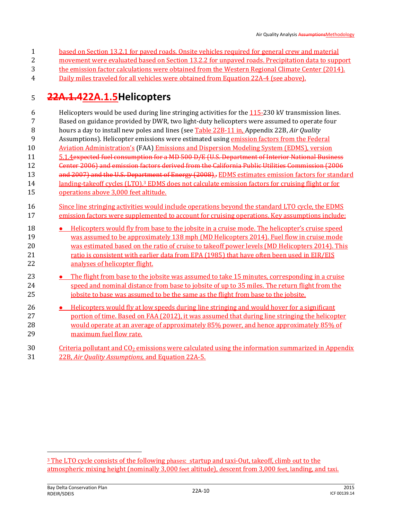- based on Section 13.2.1 for paved roads. Onsite vehicles required for general crew and material
- movement were evaluated based on Section 13.2.2 for unpaved roads. Precipitation data to support
- the emission factor calculations were obtained from the Western Regional Climate Center (2014).
- Daily miles traveled for all vehicles were obtained from Equation 22A-4 (see above).

## **22A.1.422A.1.5Helicopters**

- Helicopters would be used during line stringing activities for the 115-230 kV transmission lines. Based on guidance provided by DWR, two light-duty helicopters were assumed to operate four
- hours a day to install new poles and lines (see Table 22B-11 in, Appendix 22B, *Air Quality*
- Assumptions). Helicopter emissions were estimated using emission factors from the Federal
- 10 Aviation Administration's (FAA) Emissions and Dispersion Modeling System (EDMS), version
- 5.1.4expected fuel consumption for a MD 500 D/E (U.S. Department of Interior National Business
- Center 2006) and emission factors derived from the California Public Utilities Commission (2006
- 13 and 2007) and the U.S. Department of Energy (2008).. EDMS estimates emission factors for standard
- 14 14 14 14 2 anding-takeoff cycles (LTO).<sup>3</sup> EDMS does not calculate emission factors for cruising flight or for
- operations above 3,000 feet altitude.
- 16 Since line stringing activities would include operations beyond the standard LTO cycle, the EDMS emission factors were supplemented to account for cruising operations. Key assumptions include:
- **••** Helicopters would fly from base to the jobsite in a cruise mode. The helicopter's cruise speed was assumed to be approximately 138 mph (MD Helicopters 2014). Fuel flow in cruise mode was estimated based on the ratio of cruise to takeoff power levels (MD Helicopters 2014). This 21 ratio is consistent with earlier data from EPA (1985) that have often been used in EIR/EIS analyses of helicopter flight.
- **The flight from base to the jobsite was assumed to take 15 minutes, corresponding in a cruise**  speed and nominal distance from base to jobsite of up to 35 miles. The return flight from the 25 iobsite to base was assumed to be the same as the flight from base to the jobsite.
- **Helicopters would fly at low speeds during line stringing and would hover for a significant portion of time. Based on FAA (2012), it was assumed that during line stringing the helicopter** 28 would operate at an average of approximately 85% power, and hence approximately 85% of maximum fuel flow rate.
- 30 Criteria pollutant and  $\text{CO}_2$  emissions were calculated using the information summarized in Appendix 22B, *Air Quality Assumptions,* and Equation 22A-5.

 $\overline{a}$ 

 The LTO cycle consists of the following phases: startup and taxi-Out, takeoff, climb out to the atmospheric mixing height (nominally 3,000 feet altitude), descent from 3,000 feet, landing, and taxi.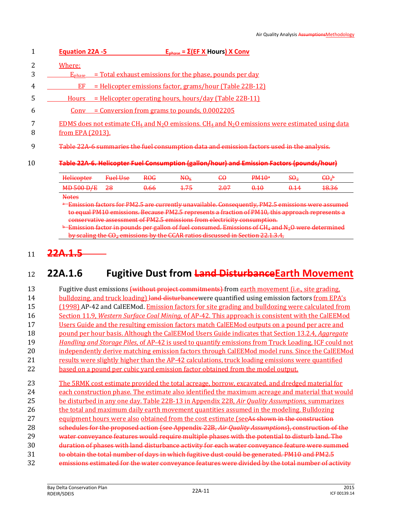|    | $E_{phase} = \Sigma (EF \times Hours) \times Conv$<br><b>Equation 22A -5</b>                                                                                        |
|----|---------------------------------------------------------------------------------------------------------------------------------------------------------------------|
| 3  | Where:<br>= Total exhaust emissions for the phase, pounds per day                                                                                                   |
| 4  | $\rm E_{phase}$<br>= Helicopter emissions factor, grams/hour (Table 22B-12)<br>EF                                                                                   |
| 5  | $=$ Helicopter operating hours, hours/day (Table 22B-11)<br><b>Hours</b>                                                                                            |
| b  | $=$ Conversion from grams to pounds, $0.0002205$<br>Conv                                                                                                            |
| 8  | EDMS does not estimate CH <sub>4</sub> and N <sub>2</sub> O emissions. CH <sub>4</sub> and N <sub>2</sub> O emissions were estimated using data<br>from EPA (2013). |
| 9  | Table 22A-6 summaries the fuel consumption data and emission factors used in the analysis.                                                                          |
| 10 | Table 22A-6. Helicopter Fuel Consumption (gallon/hour) and Emission Factors (pounds/hour)                                                                           |
|    | $\mathbf{DM10a}$<br>$c_{\Omega}$<br>$\mathcal{C} \cap \mathcal{L}$<br>$L\nu$<br>$D\Omega$<br>$\mathbf{M}$ $\Omega$<br>$\mathcal{L}$                                 |

| Heliconter<br><del>nencopier</del> | <b>Gual Hea</b><br><del>ruci osc</del> | <del>ROG</del>  | $H\Theta_{X}$ | $\mathbf{w}$ | PM10 <sup>a</sup> | C.C<br>9⊎2 | $\mathsf{C}\Theta_2{}^{\mathsf{b}}$ |
|------------------------------------|----------------------------------------|-----------------|---------------|--------------|-------------------|------------|-------------------------------------|
| <b>MD 500 D/E</b>                  | <del>28</del>                          | <del>0.66</del> | .<br>$\pm$    | 2.07         | 0.10              | 1 1 A<br>₩ | <del>18.36</del>                    |
| $\mathbf{X}$                       |                                        |                 |               |              |                   |            |                                     |

**Notes** 

<sup>a</sup> Emission factors for PM2.5 are currently unavailable. Consequently, PM2.5 emissions were assumed to equal PM10 emissions. Because PM2.5 represents a fraction of PM10, this approach represents a conservative assessment of PM2.5 emissions from electricity consumption.

 $E$ mission factor in pounds per gallon of fuel consumed. Emissions of  $\tilde{CH}_4$  and  $N_2O$  were determined by scaling the  $CQ_2$  emissions by the  $CCAR$  ratios discussed in Section 22.1.3.4.

### <sup>11</sup> **22A.1.5**

### <sup>12</sup> **22A.1.6 Fugitive Dust from Land DisturbanceEarth Movement**

13 Fugitive dust emissions (without project commitments) from earth movement (i.e., site grading, 14 bulldozing, and truck loading) land disturbance were quantified using emission factors from EPA's (1998) AP-42 and CalEEMod. Emission factors for site grading and bulldozing were calculated from Section 11.9, *Western Surface Coal Mining,* of AP-42. This approach is consistent with the CalEEMod Users Guide and the resulting emission factors match CalEEMod outputs on a pound per acre and pound per hour basis. Although the CalEEMod Users Guide indicates that Section 13.2.4, *Aggregate Handling and Storage Piles*, of AP-42 is used to quantify emissions from Truck Loading, ICF could not independently derive matching emission factors through CalEEMod model runs. Since the CalEEMod results were slightly higher than the AP-42 calculations, truck loading emissions were quantified based on a pound per cubic yard emission factor obtained from the model output. The 5RMK cost estimate provided the total acreage, borrow, excavated, and dredged material for each construction phase. The estimate also identified the maximum acreage and material that would be disturbed in any one day. Table 22B-13 in Appendix 22B, *Air Quality Assumptions*, summarizes 26 the total and maximum daily earth movement quantities assumed in the modeling. Bulldozing 27 equipment hours were also obtained from the cost estimate (see As shown in the construction schedules for the proposed action (see Appendix 22B, *Air Quality Assumptions*), construction of the water conveyance features would require multiple phases with the potential to disturb land. The duration of phases with land disturbance activity for each water conveyance feature were summed to obtain the total number of days in which fugitive dust could be generated. PM10 and PM2.5 32 emissions estimated for the water conveyance features were divided by the total number of activity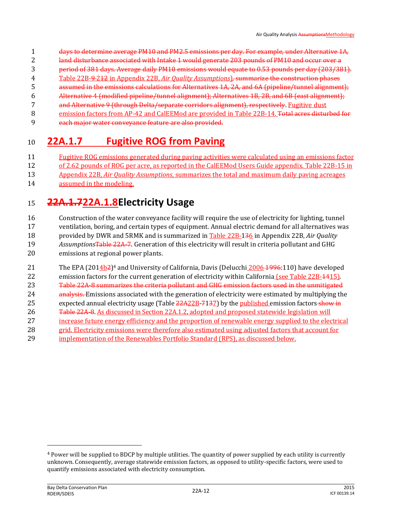- days to determine average PM10 and PM2.5 emissions per day. For example, under Alternative 1A,
- land disturbance associated with Intake 1 would generate 203 pounds of PM10 and occur over a
- period of 381 days. Average daily PM10 emissions would equate to 0.53 pounds per day (203/381).
- Table 22B-9 212 in Appendix 22B, *Air Quality Assumptions*)*,* summarize the construction phases
- assumed in the emissions calculations for Alternatives 1A, 2A, and 6A (pipeline/tunnel alignment);
- Alternative 4 (modified pipeline/tunnel alignment); Alternatives 1B, 2B, and 6B (east alignment);
- and Alternative 9 (through Delta/separate corridors alignment), respectively. Fugitive dust
- 8 emission factors from AP-42 and CalEEMod are provided in Table 22B-14. Total acres disturbed for
- each major water conveyance feature are also provided.

## **22A.1.7 Fugitive ROG from Paving**

- Fugitive ROG emissions generated during paving activities were calculated using an emissions factor
- of 2.62 pounds of ROG per acre, as reported in the CalEEMod Users Guide appendix. Table 22B-15 in
- Appendix 22B, *Air Quality Assumptions*, summarizes the total and maximum daily paving acreages
- assumed in the modeling.

## **22A.1.722A.1.8Electricity Usage**

 Construction of the water conveyance facility will require the use of electricity for lighting, tunnel ventilation, boring, and certain types of equipment. Annual electric demand for all alternatives was provided by DWR and 5RMK and is summarized in Table 22B-136 in Appendix 22B, *Air Quality Assumptions*Table 22A-7. Generation of this electricity will result in criteria pollutant and GHG emissions at regional power plants.

- 21 The EPA (2014b<sup>2</sup>)<sup>4</sup> and University of California, Davis (Delucchi 2006 1996:110) have developed 22 emission factors for the current generation of electricity within California (see Table 22B-4415). Table 22A-8 summarizes the criteria pollutant and GHG emission factors used in the unmitigated
- 24 analysis. Emissions associated with the generation of electricity were estimated by multiplying the
- 25 expected annual electricity usage (Table 22A22B-7137) by the published emission factors show in
- 26 Table 22A-8. As discussed in Section 22A.1.2, adopted and proposed statewide legislation will
- increase future energy efficiency and the proportion of renewable energy supplied to the electrical
- grid. Electricity emissions were therefore also estimated using adjusted factors that account for implementation of the Renewables Portfolio Standard (RPS), as discussed below.

 $\overline{\phantom{0}}$ 

 Power will be supplied to BDCP by multiple utilities. The quantity of power supplied by each utility is currently unknown. Consequently, average statewide emission factors, as opposed to utility-specific factors, were used to quantify emissions associated with electricity consumption.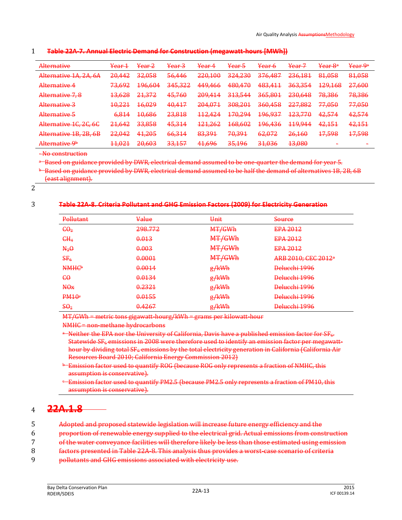#### 1 **Table 22A-7. Annual Electric Demand for Construction (megawatt-hours [MWh])**

| <u>Alternative</u><br><b><i>ISTERS STEERING</i></b>                     | <del>Year 1</del> | <del>Year 2</del>                  | $\frac{V_{\alpha\alpha r}}{2}$<br><del>redi J</del> | <del>Year 4</del>                    | Year 5                                    | Var <sub>6</sub><br><b>CONTRACTOR</b> | Year 7                        | <del>Year 8ª</del>            | <del>Year 9ª</del>         |
|-------------------------------------------------------------------------|-------------------|------------------------------------|-----------------------------------------------------|--------------------------------------|-------------------------------------------|---------------------------------------|-------------------------------|-------------------------------|----------------------------|
| Al <sub>ternativa</sub> 1A 2A 6A<br><del>micriktive 1/1, 2/1, 0/1</del> | 20,442            | <b>32 ULB</b><br><del>JZ,UJU</del> | 56 A.A.G<br>$\sigma$ , rto                          | 220,100                              | 224 220<br><del>JZ 1.230</del>            | 376,487                               | 236,181                       | 81,058                        | 81,058                     |
| Altarnativa 4<br><del>nicenauve 1</del>                                 | 72602<br>73,095   | 106.601<br><del>170,004</del>      | 215222<br><del>ona,ozz</del>                        | A.A. Q A. 66<br><del>117,100</del>   | <u>ARN A7N</u><br><del>100.170</del>      | 483,411                               | 363,354                       | 120168<br>127,100             | 27,600                     |
| Alternative 7, 8                                                        | 12628<br>13.020   | 21,372                             | 45,760                                              | <u>200 111</u><br><del>209,TIT</del> | 212 5 <i>AA</i><br><del>JIJ.JTT</del>     | 365,801                               | 230,648                       | <del>78,386</del>             | 78,386                     |
| Alternative 3                                                           | 10.221<br>10.221  | <del>16,029</del>                  | 40,417                                              | 204,071                              | 308,201                                   | 360,458                               | 227.882<br><del>227,002</del> | 77 050<br><del>,,,v.v</del>   | 77,050                     |
| Alternative 5<br><b>ANGSERIAN CID</b>                                   | 6,814             | 10686<br><del>10,000</del>         | 23,818                                              | 112A2A<br>11 <del>4,141</del>        | 170.29 <sub>A</sub><br><del>170.271</del> | <del>196,937</del>                    | <del>123,770</del>            | A257A<br><del>דומ, בד</del>   | 42,574                     |
| Alternative 1C, 2C, 6C                                                  | 21612<br>21,0TZ   | <b>33 858</b><br><del>JJ,0J0</del> | 15.211<br>ᠴᠣᠣᠴ᠊ᠴ                                    | 121262<br>121,202                    | <u> 168.602</u><br><del>100.002</del>     | <del>196,436</del>                    | 1100A<br><del>117,7T</del>    | 12151<br>T <del>a, IJ I</del> | 42,151                     |
| Alternative 1R 2R 6R<br><u>Tuttuatuvo 19, 49, 09</u>                    | 220012<br>22,012  | 4.1, 205<br>᠇ᠴ᠘᠊ᡃᡉᡉ                | 66,314                                              | 83.301<br><del>∪J,J⊅±</del>          | 70.301<br><del>70,391</del>               | 62072<br><del>04,072</del>            | 26160<br><del>20,100</del>    | 17508<br><del>17,J90</del>    | 17508<br><del>17,370</del> |
| Alternative Ob<br><del>nicenauve 2</del>                                | 11 0 21<br>111041 | 20.603<br><del>20,003</del>        | 22157<br><del>JJ,1J7</del>                          | 41696<br>7 <del>1,070</del>          | 25 1 0 6<br><del>JJ,170</del>             | 21 026<br>᠊ᠣᠴᡕᠣᢣᠣ                     | <b>13 UBU</b><br>ᠴᠣᠨᠣᠦᠣ       |                               | -                          |

- No construction

a Based on guidance provided by DWR, electrical demand assumed to be one-quarter the demand for year 5.

<sup>b-</sup>Based on guidance provided by DWR, electrical demand assumed to be half the demand of alternatives 1B, 2B, 6B (east alignment).

2

#### 3 **Table 22A-8. Criteria Pollutant and GHG Emission Factors (2009) for Electricity Generation**

| Pollutant                | <del>Value</del> | Unit   | Source                          |
|--------------------------|------------------|--------|---------------------------------|
| $\epsilon \theta_2$      | 298.772          | MT/GWh | EPA 2012                        |
| CH <sub>4</sub>          | 0.013            | MT/GWh | EPA 2012                        |
|                          |                  |        |                                 |
| $N_2\Theta$              | 0.003            | MT/GWh | EPA 2012                        |
| SF <sub>6</sub>          | 0.0001           | MT/GWh | ARB 2010; CEC 2012 <sup>a</sup> |
| <b>NMHC</b> <sup>b</sup> | 0.0014           | g/kWh  | Delucchi 1996                   |
| $\epsilon$ o             | 0.0134           | g/kWh  | Delucchi 1996                   |
| H <sub>0x</sub>          | 0.2321           | g/kWh  | Delucchi 1996                   |
| PM10 <sup>e</sup>        | 0.0155           | g/kWh  | Delucchi 1996                   |
| $\mathbf{S}\Theta_2$     | 0.4267           | g/kWh  | Delucchi 1996                   |

MT/GWh = metric tons gigawatt-hourg/kWh = grams per kilowatt-hour

NMHC = non-methane hydrocarbons

- a Neither the EPA nor the University of California, Davis have a published emission factor for SF<sub>6</sub>. Statewide SF<sub>6</sub> emissions in 2008 were therefore used to identify an emission factor per megawatthour by dividing total SF<sub>6</sub> emissions by the total electricity generation in California (California Air Resources Board 2010; California Energy Commission 2012)
- **b Emission factor used to quantify ROG (because ROG only represents a fraction of NMHC, this** assumption is conservative).
- Emission factor used to quantify PM2.5 (because PM2.5 only represents a fraction of PM10, this assumption is conservative).

### <sup>4</sup> **22A.1.8**

- 5 Adopted and proposed statewide legislation will increase future energy efficiency and the 6 proportion of renewable energy supplied to the electrical grid. Actual emissions from construction 7 of the water conveyance facilities will therefore likely be less than those estimated using emission 8 factors presented in Table 22A-8. This analysis thus provides a worst-case scenario of criteria
- 9 pollutants and GHG emissions associated with electricity use.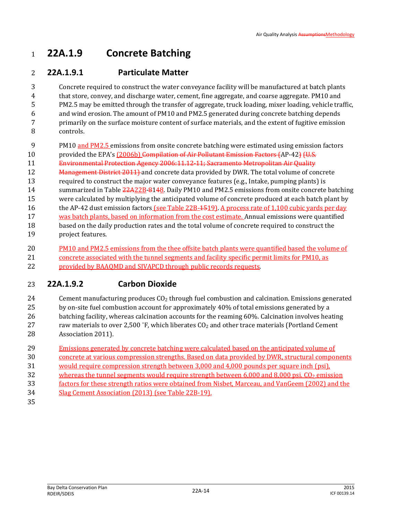## **22A.1.9 Concrete Batching**

### **22A.1.9.1 Particulate Matter**

 Concrete required to construct the water conveyance facility will be manufactured at batch plants that store, convey, and discharge water, cement, fine aggregate, and coarse aggregate. PM10 and PM2.5 may be emitted through the transfer of aggregate, truck loading, mixer loading, vehicle traffic, and wind erosion. The amount of PM10 and PM2.5 generated during concrete batching depends primarily on the surface moisture content of surface materials, and the extent of fugitive emission controls.

- PM10 and PM2.5 emissions from onsite concrete batching were estimated using emission factors
- 10 provided the EPA's (2006b) Compilation of Air Pollutant Emission Factors (AP-42) (U.S.
- Environmental Protection Agency 2006:11.12-11; Sacramento Metropolitan Air Quality
- 12 Management District 2011 and concrete data provided by DWR. The total volume of concrete
- required to construct the major water conveyance features (e.g., Intake, pumping plants) is
- 14 summarized in Table  $\frac{22A22B-8148}{2}$ . Daily PM10 and PM2.5 emissions from onsite concrete batching
- were calculated by multiplying the anticipated volume of concrete produced at each batch plant by
- 16 the AP-42 dust emission factors (see Table 22B-1519). A process rate of 1,100 cubic yards per day
- was batch plants, based on information from the cost estimate. Annual emissions were quantified based on the daily production rates and the total volume of concrete required to construct the
- project features.
- PM10 and PM2.5 emissions from the thee offsite batch plants were quantified based the volume of
- concrete associated with the tunnel segments and facility specific permit limits for PM10, as
- 22 provided by BAAQMD and SJVAPCD through public records requests.

### **22A.1.9.2 Carbon Dioxide**

24 Cement manufacturing produces  $CO<sub>2</sub>$  through fuel combustion and calcination. Emissions generated 25 by on-site fuel combustion account for approximately 40% of total emissions generated by a batching facility, whereas calcination accounts for the reaming 60%. Calcination involves heating 27 raw materials to over 2,500  $\degree$ F, which liberates CO<sub>2</sub> and other trace materials (Portland Cement Association 2011).

- Emissions generated by concrete batching were calculated based on the anticipated volume of
- concrete at various compression strengths. Based on data provided by DWR, structural components
- would require compression strength between 3,000 and 4,000 pounds per square inch (psi),
- 32 whereas the tunnel segments would require strength between 6,000 and 8,000 psi.  $CO<sub>2</sub>$  emission
- factors for these strength ratios were obtained from Nisbet, Marceau, and VanGeem (2002) and the
- Slag Cement Association (2013) (see Table 22B-19).
-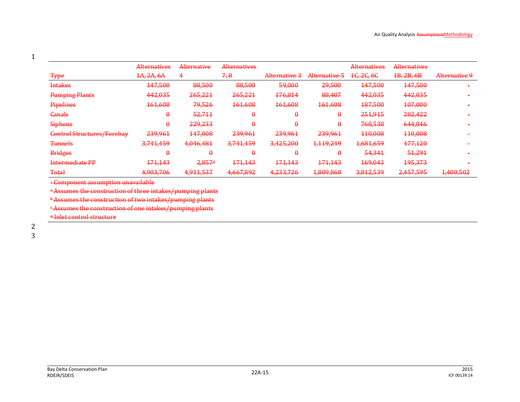|                                   | Alternatives | Alternative          | Alternatives |               |               | <b>Alternatives</b>    | <b>Alternatives</b> |               |
|-----------------------------------|--------------|----------------------|--------------|---------------|---------------|------------------------|---------------------|---------------|
| <b>Type</b>                       | 4A, 2A, 6A   | 4                    | 7,8          | Alternative 3 | Alternative 5 | 1 <del>C, 2C, 6C</del> | 1B, 2B, 6B          | Alternative 9 |
| <b>Intakes</b>                    | 447,500      | 88,500               | 88,500       | 59,000        | 29,500        | 147,500                | 147,500             |               |
| <b>Pumping Plants</b>             | 442,035      | 265,221              | 265,221      | 176,814       | 88,407        | 442,035                | 442,035             |               |
| <b>Pipelines</b>                  | 461,608      | 79,526               | 161,608      | 161,608       | 161,608       | 187,500                | 107,000             |               |
| <b>Canals</b>                     | $\theta$     | 52,711               | $\theta$     | $\theta$      | $\theta$      | 251,915                | 282,422             |               |
| <b>Siphons</b>                    | $\theta$     | 229,233              | $\theta$     | $\theta$      | $\theta$      | 768,538                | 644,846             |               |
| <b>Control Structures/Forebay</b> | 239,961      | 447,008              | 239,961      | 239,961       | 239,961       | 110,008                | 110,008             |               |
| <b>Tunnels</b>                    | 3,741,459    | 4,046,481            | 3,741,459    | 3,425,200     | 1,119,249     | 1,681,659              | 477,120             |               |
| <b>Bridges</b>                    | $\theta$     | $\theta$             | $\theta$     | $\theta$      | $\theta$      | 54,341                 | 51,291              |               |
| <b>Intermediate PP</b>            | 171,143      | $2,857$ <sup>d</sup> | 171,143      | 171,143       | 171,143       | 169,043                | 195,373             |               |
| <b>Total</b>                      | 4,903,706    | 4,911,537            | 4,667,892    | 4,233,726     | 1,809,868     | 3,812,539              | 2,457,595           | 1,400,502     |

- Component assumption unavailable

a Assumes the construction of three intakes/pumping plants

**b Assumes the construction of two intakes/pumping plants** 

<sup>c</sup> Assumes the construction of one intakes/pumping plants

<sup>d</sup> Inlet control structure

1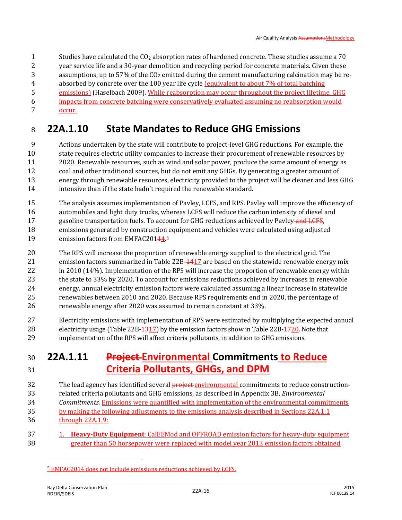Studies have calculated the CO<sup>2</sup> absorption rates of hardened concrete. These studies assume a 70 year service life and a 30-year demolition and recycling period for concrete materials. Given these 3 assumptions, up to 57% of the  $CO<sub>2</sub>$  emitted during the cement manufacturing calcination may be re- absorbed by concrete over the 100 year life cycle (equivalent to about 7% of total batching emissions) (Haselbach 2009). While reabsorption may occur throughout the project lifetime, GHG impacts from concrete batching were conservatively evaluated assuming no reabsorption would occur.

## **22A.1.10 State Mandates to Reduce GHG Emissions**

 Actions undertaken by the state will contribute to project-level GHG reductions. For example, the state requires electric utility companies to increase their procurement of renewable resources by 2020. Renewable resources, such as wind and solar power, produce the same amount of energy as coal and other traditional sources, but do not emit any GHGs. By generating a greater amount of energy through renewable resources, electricity provided to the project will be cleaner and less GHG intensive than if the state hadn't required the renewable standard.

- The analysis assumes implementation of Pavley, LCFS, and RPS. Pavley will improve the efficiency of automobiles and light duty trucks, whereas LCFS will reduce the carbon intensity of diesel and 17 gasoline transportation fuels. To account for GHG reductions achieved by Payley and LCFS, emissions generated by construction equipment and vehicles were calculated using adjusted 19 emission factors from EMFAC20144.<sup>5</sup>
- The RPS will increase the proportion of renewable energy supplied to the electrical grid. The 21 emission factors summarized in Table 22B-4417 are based on the statewide renewable energy mix 22 in 2010 (14%). Implementation of the RPS will increase the proportion of renewable energy within the state to 33% by 2020. To account for emissions reductions achieved by increases in renewable energy, annual electricity emission factors were calculated assuming a linear increase in statewide renewables between 2010 and 2020. Because RPS requirements end in 2020, the percentage of renewable energy after 2020 was assumed to remain constant at 33%.
- Electricity emissions with implementation of RPS were estimated by multiplying the expected annual 28 electricity usage (Table 22B-1317) by the emission factors show in Table 22B-1720. Note that implementation of the RPS will affect criteria pollutants, in addition to GHG emissions.

## **22A.1.11 Project Environmental Commitments to Reduce Criteria Pollutants, GHGs, and DPM**

- 32 The lead agency has identified several **project** environmental commitments to reduce construction- related criteria pollutants and GHG emissions, as described in Appendix 3B, *Environmental Commitments.* Emissions were quantified with implementation of the environmental commitments 35 by making the following adjustments to the emissions analysis described in Sections 22A.1.1 through 22A.1.9:
- 1. **Heavy-Duty Equipment**: CalEEMod and OFFROAD emission factors for heavy-duty equipment greater than 50 horsepower were replaced with model year 2013 emission factors obtained

l

EMFAC2014 does not include emissions reductions achieved by LCFS.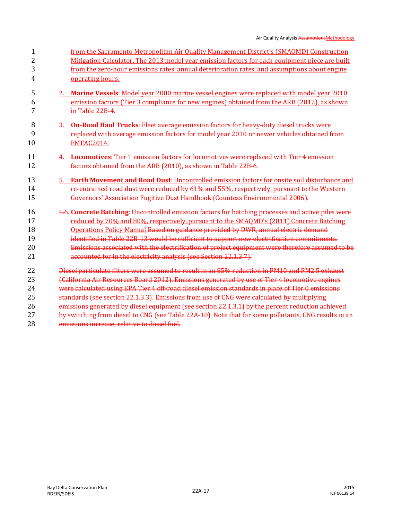| from the Sacramento Metropolitan Air Quality Management District's (SMAQMD) Construction             |
|------------------------------------------------------------------------------------------------------|
| Mitigation Calculator. The 2013 model year emission factors for each equipment piece are built       |
| from the zero-hour emissions rates, annual deterioration rates, and assumptions about engine         |
| operating hours.                                                                                     |
| 2. Marine Vessels: Model year 2000 marine vessel engines were replaced with model year 2010          |
| emission factors (Tier 3 compliance for new engines) obtained from the ARB (2012), as shown          |
| in Table 22B-4.                                                                                      |
| <b>On-Road Haul Trucks:</b> Fleet average emission factors for heavy-duty diesel trucks were         |
| replaced with average emission factors for model year 2010 or newer vehicles obtained from           |
| <b>EMFAC2014.</b>                                                                                    |
| 4. Locomotives: Tier 1 emission factors for locomotives were replaced with Tier 4 emission           |
| factors obtained from the ARB (2010), as shown in Table 22B-6.                                       |
| 5. Earth Movement and Road Dust: Uncontrolled emission factors for onsite soil disturbance and       |
| re-entrained road dust were reduced by 61% and 55%, respectively, pursuant to the Western            |
| <b>Governors' Association Fugitive Dust Handbook (Countess Environmental 2006).</b>                  |
| 4-6. Concrete Batching: Uncontrolled emission factors for batching processes and active piles were   |
| reduced by 70% and 80%, respectively, pursuant to the SMAOMD's (2011) Concrete Batching              |
| Operations Policy Manual. Based on guidance provided by DWR, annual electric demand                  |
| identified in Table 22B-13 would be sufficient to support new electrification commitments.           |
| Emissions associated with the electrification of project equipment were therefore assumed to be      |
| accounted for in the electricity analysis (see Section 22.1.3.7).                                    |
| Diesel particulate filters were assumed to result in an 85% reduction in PM10 and PM2.5 exhaust      |
| (California Air Resources Board 2012). Emissions generated by use of Tier 4 locomotive engines       |
| were calculated using EPA Tier 4 off-road diesel emission standards in place of Tier 0 emissions     |
| standards (see section 22.1.3.3). Emissions from use of CNG were calculated by multiplying           |
| emissions generated by diesel equipment (see section 22.1.3.1) by the percent reduction achieved     |
| by switching from diesel to CNG (see Table 22A-10). Note that for some pollutants, CNG results in an |
| emissions increase, relative to diesel fuel.                                                         |
| 3.                                                                                                   |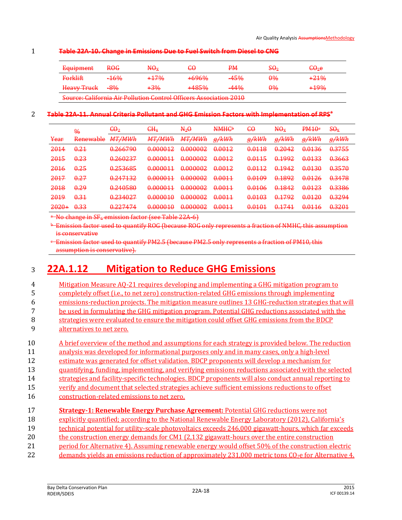#### 1 **Table 22A-10. Change in Emissions Due to Fuel Switch from Diesel to CNG**

| Fournment<br><del>nquiphiem</del>         | ROG             | $\rm M\rm \theta_x$                                               | £θ                                         | PМ        | SO2           | <del>CO</del> 2e |
|-------------------------------------------|-----------------|-------------------------------------------------------------------|--------------------------------------------|-----------|---------------|------------------|
| $F$ <sub>Or</sub> $F$<br><del>roman</del> | <del>-16%</del> | +17%                                                              | 70407<br><del></del>                       | 45%       | $\theta\%$    | <del>+21%</del>  |
| Heavy Truck                               | <del>-8%</del>  | <del>⊦3%</del>                                                    | $\pm A. Q \sqrt{2} 0$<br><del>r room</del> | $A.A.0\&$ | <del>0%</del> | +19%             |
|                                           |                 | Course Colifornia Air Pollution Control Officers Association 2010 |                                            |           |               |                  |

Source: California Air Pollution Control Officers Association 2010

#### **Table 22A-11. Annual Criteria Pollutant and GHG Emission Factors with Implementation of RPS<sup>a</sup>** 2

|                                | $\frac{0}{0}$                           | $\epsilon \Theta_2$                                                           | $H_4$                                 | $N_2\Theta$                                                                                                        | <b>MMHCb</b><br><del>n man</del>                                                                                                          | <del>60</del>                                                       | $H\Theta_X$                                 | DM10 <sub>e</sub><br><del>rwi o</del>      | $\mathbf{S}\mathbf{\Theta}_{\mathbf{X}}$                                                              |
|--------------------------------|-----------------------------------------|-------------------------------------------------------------------------------|---------------------------------------|--------------------------------------------------------------------------------------------------------------------|-------------------------------------------------------------------------------------------------------------------------------------------|---------------------------------------------------------------------|---------------------------------------------|--------------------------------------------|-------------------------------------------------------------------------------------------------------|
| Year                           | Renewable<br><b>ALCOHOL: ANGELES BE</b> | МТ /МИЉ<br>, , , , , , , , , , , ,                                            | MT/MM/h<br>14 1 7 14 YY 11            | МТ /МИЉ<br><del>1711/1717711</del>                                                                                 | a /bMh<br><del>,97 KVV 11</del>                                                                                                           | a /bMh<br>$H^{\prime}$ n v $H$                                      | a /bMh<br><del>,97 K VV 11</del>            | a/bMh<br><del>,97 K VV H</del>             | <u>a /bM/h</u><br><del>,97 n vv 11</del>                                                              |
| 2014                           | 0.21                                    | <u>በ 26670በ</u><br><del>v. 2007 Jo</del>                                      | <u>በ በበበበ12</u><br><del>u.uuu1z</del> | በ በበበበበን<br><del>u.uuuuz</del>                                                                                     | በ በበ12<br><del>u.uu ra</del>                                                                                                              | በ በ11 R<br><del>v.viio</del>                                        | 0.2042<br><del>0.2012</del>                 | በ በ1 2 6<br><del>v.viju</del>              | <b>N 3755</b><br><del>v.v.v.</del>                                                                    |
| 2015                           | 0.23                                    | 0.260227<br><del>v.200237</del>                                               | 0.000011<br><u>VIVVVVJ</u>            | በ በበበበበን<br>$\mathbf{U}$ , $\mathbf{U}$ , $\mathbf{U}$ , $\mathbf{U}$ , $\mathbf{U}$ , $\mathbf{U}$ , $\mathbf{U}$ | <u>በ በበ12</u><br><del>u.uu ra</del>                                                                                                       | 0 0 1 1 5<br><del>v.viis</del>                                      | በ 1002<br><del>v.1772</del>                 | በ በ1 2 2<br><del>u.urud</del>              | <u>በ 3663</u><br><del>u.suus</del>                                                                    |
| 2016                           | 0.25                                    | 0252685<br><u>Viedo o Volo</u>                                                | በ በበበበ11<br><b>VIV VIV VID</b>        | በ በበበበበን<br>$\mathbf{u}_1 \mathbf{v}_2 \mathbf{v}_3 \mathbf{v}_4$                                                  | በ በበ12<br>$\overline{U_1} \overline{U_2} \overline{U_3}$                                                                                  | በ በ112<br>$\mathbf{v}$ , $\mathbf{v}$ , $\mathbf{v}$ , $\mathbf{v}$ | 0.1042<br>$\sqrt{1 + 2}$                    | <u> በበ13በ</u><br>$\overline{v_1v_2v_3v_4}$ | በ 257በ<br><del>0.007 U</del>                                                                          |
| 2017                           | 0.27                                    | 0.247122<br><b>MASS CONTRACT</b>                                              | በ በበበበ11<br><b>VIV VIV VID</b>        | በ በበበበበን<br>$\mathbf{u}_1 \mathbf{v}_2 \mathbf{v}_3 \mathbf{v}_4$                                                  | በ በበ11<br>$\overline{u}$ , $\overline{u}$ , $\overline{u}$ , $\overline{u}$                                                               | <u>በ በ1በዐ</u><br><del>u.urus</del>                                  | $\sqrt{1 + 2 + 2}$                          | 0.0126                                     | 0.34.79<br><del>v.v.vo</del>                                                                          |
| 2018<br><del>2010</del>        | 0.29                                    | 0.240580<br><b>VIATIVIAN</b>                                                  | በ በበበበ11<br><u>VIVVVV</u> P           | በ በበበበበን<br>$\mathbf{u}_1 \mathbf{v}_2 \mathbf{v}_3 \mathbf{v}_4$                                                  | በ በበ11<br>$\overline{u}$ , $\overline{u}$ , $\overline{u}$ , $\overline{u}$ , $\overline{u}$                                              | <u>በ በ1በሬ</u><br>$U_1 U_2 U_3 U_4$                                  | 0.1842<br>$\sqrt{1 + 2}$                    | በ በ1 2 2<br><del>0.0120</del>              | በ 2286<br><del>u.ssoo</del>                                                                           |
| <u>2010</u><br><del>2019</del> | 0.31                                    | 0.224027<br>$V1C1C2C1C2C1C2C2C2C2C2C2C2C2C2C2C2C2C2C2C2C2C2C2C2C2C2C2C2C2C2C$ | n nnnn 1<br><b>UTU U U U U U</b>      | በ በበበበበን<br>$\mathbf{u}_1 \mathbf{v}_2 \mathbf{v}_3 \mathbf{v}_4$                                                  | በ በበ11<br>$\overline{u}$ , $\overline{u}$ , $\overline{u}$ , $\overline{u}$                                                               | በ በ1በ3<br>$U_1 U_2 U_3 U_4$                                         | በ 1702<br>$\sqrt{1 + (1 - \sqrt{1 - 1})^2}$ | <u>በ በ1 2 በ</u><br>$V_1 V_2 V_3 V_4$       | 0.3294<br>$\sigma$ , $\sigma$ , $\sigma$ , $\sigma$                                                   |
| າທາທ⊥<br>ਨਰਨਰਾ                 | <b>U33</b><br><b>VIDIO</b>              | 0.227171<br>$\sqrt{1 - 1}$                                                    | 0.000010<br><b>UTULULULUPEU</b>       | በ በበበበበን<br><u>UTU U U U U U</u>                                                                                   | በ በበ11<br>$\overline{\mathbf{v}}$ , $\overline{\mathbf{v}}$ , $\overline{\mathbf{v}}$ , $\overline{\mathbf{v}}$ , $\overline{\mathbf{v}}$ | በ በ1 በ1<br><b>UTU-SUP</b>                                           | 0.1741<br>$\overline{\phantom{m}}$          | በ በ116<br><del>v.viid</del>                | $\overline{\mathbf{v}}$ , $\overline{\mathbf{v}}$ , $\overline{\mathbf{v}}$ , $\overline{\mathbf{v}}$ |

<sup>a</sup> No change in SF<sub>6</sub> emission factor (see Table 22A-6)

<sup>b</sup> Emission factor used to quantify ROG (because ROG only represents a fraction of NMHC, this assumption is conservative

<sup>c</sup> Emission factor used to quantify PM2.5 (because PM2.5 only represents a fraction of PM10, this assumption is conservative).

## <sup>3</sup> **22A.1.12 Mitigation to Reduce GHG Emissions**

| 4  | <u>Mitigation Measure AQ-21 requires developing and implementing a GHG mitigation program to</u>        |
|----|---------------------------------------------------------------------------------------------------------|
| 5  | completely offset (i.e., to net zero) construction-related GHG emissions through implementing           |
| 6  | emissions-reduction projects. The mitigation measure outlines 13 GHG-reduction strategies that will     |
| 7  | be used in formulating the GHG mitigation program. Potential GHG reductions associated with the         |
| 8  | strategies were evaluated to ensure the mitigation could offset GHG emissions from the BDCP             |
| 9  | alternatives to net zero.                                                                               |
| 10 | A brief overview of the method and assumptions for each strategy is provided below. The reduction       |
| 11 | analysis was developed for informational purposes only and in many cases, only a high-level             |
| 12 | estimate was generated for offset validation. BDCP proponents will develop a mechanism for              |
| 13 | quantifying, funding, implementing, and verifying emissions reductions associated with the selected     |
| 14 | strategies and facility-specific technologies. BDCP proponents will also conduct annual reporting to    |
| 15 | verify and document that selected strategies achieve sufficient emissions reductions to offset          |
| 16 | construction-related emissions to net zero.                                                             |
| 17 | <b>Strategy-1: Renewable Energy Purchase Agreement: Potential GHG reductions were not</b>               |
| 18 | explicitly quantified: according to the National Renewable Energy Laboratory (2012), California's       |
| 19 | technical potential for utility-scale photovoltaics exceeds 246,000 gigawatt-hours, which far exceeds   |
| 20 | the construction energy demands for CM1 (2,132 gigawatt-hours over the entire construction              |
| 21 | period for Alternative 4). Assuming renewable energy would offset 50% of the construction electric      |
| 22 | demands yields an emissions reduction of approximately $231,000$ metric tons $CO2$ e for Alternative 4. |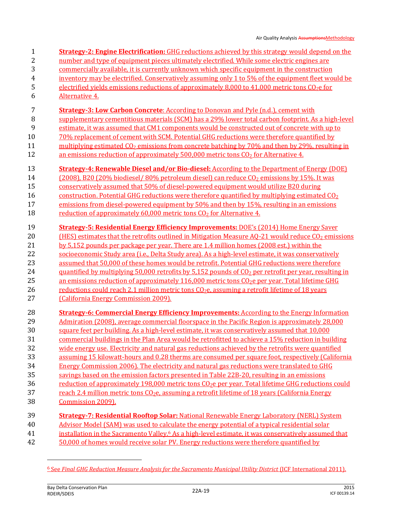2 number and type of equipment pieces ultimately electrified. While some electric engines are 3 commercially available, it is currently unknown which specific equipment in the construction 4 inventory may be electrified. Conservatively assuming only 1 to 5% of the equipment fleet would be 5 electrified yields emissions reductions of approximately 8,000 to 41,000 metric tons CO<sub>2</sub>e for 6 Alternative 4. 7 **Strategy-3: Low Carbon Concrete**: According to Donovan and Pyle (n.d.), cement with 8 supplementary cementitious materials (SCM) has a 29% lower total carbon footprint. As a high-level 9 estimate, it was assumed that CM1 components would be constructed out of concrete with up to 10 70% replacement of cement with SCM. Potential GHG reductions were therefore quantified by 11 multiplying estimated CO<sub>2</sub> emissions from concrete batching by 70% and then by 29%, resulting in 12 an emissions reduction of approximately  $500,000$  metric tons  $CO<sub>2</sub>$  for Alternative 4. 13 **Strategy-4: Renewable Diesel and/or Bio-diesel:** According to the Department of Energy (DOE) 14 (2008), B20 (20% biodiesel/ 80% petroleum diesel) can reduce CO<sub>2</sub> emissions by 15%. It was 15 conservatively assumed that 50% of diesel-powered equipment would utilize B20 during 16 construction. Potential GHG reductions were therefore quantified by multiplying estimated  $CO<sub>2</sub>$ 17 emissions from diesel-powered equipment by 50% and then by 15%, resulting in an emissions 18 reduction of approximately 60,000 metric tons CO<sub>2</sub> for Alternative 4. 19 **Strategy-5: Residential Energy Efficiency Improvements:** DOE's (2014) Home Energy Saver 20 (HES) estimates that the retrofits outlined in Mitigation Measure AQ-21 would reduce CO<sub>2</sub> emissions 21 by 5,152 pounds per package per year. There are 1.4 million homes (2008 est.) within the 22 socioeconomic Study area (i.e., Delta Study area). As a high-level estimate, it was conservatively 23 assumed that 50,000 of these homes would be retrofit. Potential GHG reductions were therefore 24 quantified by multiplying 50,000 retrofits by 5,152 pounds of CO<sub>2</sub> per retrofit per year, resulting in 25 an emissions reduction of approximately 116,000 metric tons CO<sub>2</sub>e per year. Total lifetime GHG 26 reductions could reach 2.1 million metric tons  $C_2e$ , assuming a retrofit lifetime of 18 years 27 (California Energy Commission 2009). 28 **Strategy-6: Commercial Energy Efficiency Improvements:** According to the Energy Information 29 Admiration (2008), average commercial floorspace in the Pacific Region is approximately 28,000 30 square feet per building. As a high-level estimate, it was conservatively assumed that 10,000 31 commercial buildings in the Plan Area would be retrofitted to achieve a 15% reduction in building 32 wide energy use. Electricity and natural gas reductions achieved by the retrofits were quantified 33 assuming 15 kilowatt-hours and 0.28 therms are consumed per square foot, respectively (California 34 Energy Commission 2006). The electricity and natural gas reductions were translated to GHG 35 savings based on the emission factors presented in Table 22B-20, resulting in an emissions 36 reduction of approximately 198,000 metric tons CO<sub>2</sub>e per year. Total lifetime GHG reductions could 37 reach 2.4 million metric tons CO<sub>2</sub>e, assuming a retrofit lifetime of 18 years (California Energy 38 Commission 2009). 39 **Strategy-7: Residential Rooftop Solar:** National Renewable Energy Laboratory (NERL) System 40 Advisor Model (SAM) was used to calculate the energy potential of a typical residential solar 41 **installation in the Sacramento Valley.** 6 As a high-level estimate, it was conservatively assumed that 42 50,000 of homes would receive solar PV. Energy reductions were therefore quantified by

1 **Strategy-2: Engine Electrification:** GHG reductions achieved by this strategy would depend on the

l

<sup>6</sup> See *Final GHG Reduction Measure Analysis for the Sacramento Municipal Utility District* (ICF International 2011).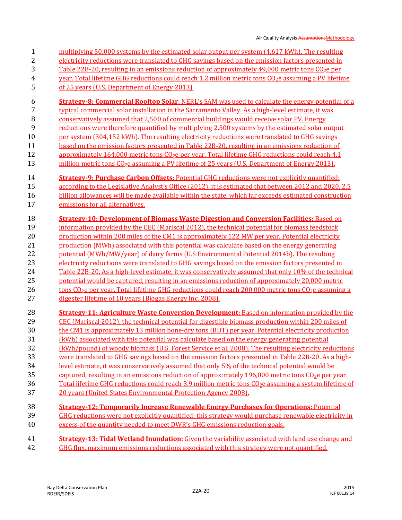- Air Quality Analysis AssumptionsMethodology 1 multiplying 50,000 systems by the estimated solar output per system (4,617 kWh). The resulting 2 electricity reductions were translated to GHG savings based on the emission factors presented in 3 Table 22B-20, resulting in an emissions reduction of approximately 49,000 metric tons  $\text{CO}_2$ e per 4 year. Total lifetime GHG reductions could reach 1.2 million metric tons  $CO<sub>2</sub>e$  assuming a PV lifetime 5 of 25 years (U.S. Department of Energy 2013). 6 **Strategy-8: Commercial Rooftop Solar**: NERL's SAM was used to calculate the energy potential of a 7 typical commercial solar installation in the Sacramento Valley. As a high-level estimate, it was 8 conservatively assumed that 2,500 of commercial buildings would receive solar PV. Energy 9 reductions were therefore quantified by multiplying 2,500 systems by the estimated solar output 10 per system (304,152 kWh). The resulting electricity reductions were translated to GHG savings 11 based on the emission factors presented in Table 22B-20, resulting in an emissions reduction of 12 approximately 164,000 metric tons  $CO<sub>2</sub>e$  per year. Total lifetime GHG reductions could reach 4.1 13 million metric tons CO<sub>2</sub>e assuming a PV lifetime of 25 years (U.S. Department of Energy 2013). 14 **Strategy-9: Purchase Carbon Offsets:** Potential GHG reductions were not explicitly quantified; 15 according to the Legislative Analyst's Office (2012), it is estimated that between 2012 and 2020, 2.5 16 billion allowances will be made available within the state, which far exceeds estimated construction 17 emissions for all alternatives. 18 **Strategy-10: Development of Biomass Waste Digestion and Conversion Facilities:** Based on 19 information provided by the CEC (Mariscal 2012), the technical potential for biomass feedstock 20 production within 200 miles of the CM1 is approximately 122 MW per year. Potential electricity 21 production (MWh) associated with this potential was calculate based on the energy generating 22 potential (MWh/MW/year) of dairy farms (U.S Environmental Potential 2014b). The resulting 23 electricity reductions were translated to GHG savings based on the emission factors presented in 24 Table 22B-20. As a high-level estimate, it was conservatively assumed that only 10% of the technical 25 potential would be captured, resulting in an emissions reduction of approximately 20,000 metric 26 tons CO<sub>2</sub>e per year. Total lifetime GHG reductions could reach 200,000 metric tons CO<sub>2</sub>e assuming a 27 digester lifetime of 10 years (Biogas Energy Inc. 2008). 28 **Strategy-11: Agriculture Waste Conversion Development:** Based on information provided by the 29 CEC (Mariscal 2012), the technical potential for digestible biomass production within 200 miles of 30 the CM1 is approximately 13 million bone-dry tons (BDT) per year. Potential electricity production 31 (kWh) associated with this potential was calculate based on the energy generating potential 32 (kWh/pound) of woody biomass (U.S. Forest Service et al. 2008). The resulting electricity reductions
- 33 were translated to GHG savings based on the emission factors presented in Table 22B-20. As a high-34 level estimate, it was conservatively assumed that only 5% of the technical potential would be
- 35 captured, resulting in an emissions reduction of approximately 196,000 metric tons  $\text{CO}_2$ e per year.
- 36 Total lifetime GHG reductions could reach 3.9 million metric tons CO<sub>2</sub>e assuming a system lifetime of
- 37 20 years (United States Environmental Protection Agency 2008).
- 38 **Strategy-12: Temporarily Increase Renewable Energy Purchases for Operations:** Potential
- 39 GHG reductions were not explicitly quantified; this strategy would purchase renewable electricity in 40 excess of the quantity needed to meet DWR's GHG emissions reduction goals.
- 41 **Strategy-13: Tidal Wetland Inundation:** Given the variability associated with land use change and 42 GHG flux, maximum emissions reductions associated with this strategy were not quantified.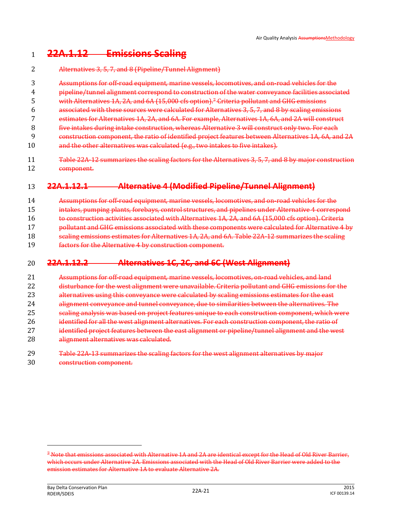### **22A.1.12 Emissions Scaling**

- Alternatives 3, 5, 7, and 8 (Pipeline/Tunnel Alignment) Assumptions for off-road equipment, marine vessels, locomotives, and on-road vehicles for the pipeline/tunnel alignment correspond to construction of the water conveyance facilities associated 5 with Alternatives 1A, 2A, and 6A (15,000 cfs option).<sup>7</sup> Criteria pollutant and GHG emissions associated with these sources were calculated for Alternatives 3, 5, 7, and 8 by scaling emissions estimates for Alternatives 1A, 2A, and 6A. For example, Alternatives 1A, 6A, and 2A will construct five intakes during intake construction, whereas Alternative 3 will construct only two. For each construction component, the ratio of identified project features between Alternatives 1A, 6A, and 2A and the other alternatives was calculated (e.g., two intakes to five intakes).
- 11 Table 22A-12 summarizes the scaling factors for the Alternatives 3, 5, 7, and 8 by major construction component.

### **22A.1.12.1 Alternative 4 (Modified Pipeline/Tunnel Alignment)**

- Assumptions for off-road equipment, marine vessels, locomotives, and on-road vehicles for the
- 15 intakes, pumping plants, forebays, control structures, and pipelines under Alternative 4 correspond
- to construction activities associated with Alternatives 1A, 2A, and 6A (15,000 cfs option). Criteria
- **pollutant and GHG emissions associated with these components were calculated for Alternative 4 by**
- scaling emissions estimates for Alternatives 1A, 2A, and 6A. Table 22A-12 summarizes the scaling
- factors for the Alternative 4 by construction component.

### **22A.1.12.2 Alternatives 1C, 2C, and 6C (West Alignment)**

- Assumptions for off-road equipment, marine vessels, locomotives, on-road vehicles, and land 22 disturbance for the west alignment were unavailable. Criteria pollutant and GHG emissions for the 23 alternatives using this conveyance were calculated by scaling emissions estimates for the east alignment conveyance and tunnel conveyance, due to similarities between the alternatives. The scaling analysis was based on project features unique to each construction component, which were 26 identified for all the west alignment alternatives. For each construction component, the ratio of 27 identified project features between the east alignment or pipeline/tunnel alignment and the west 28 alignment alternatives was calculated.
- Table 22A-13 summarizes the scaling factors for the west alignment alternatives by major construction component.

 $\overline{\phantom{0}}$ 

 Note that emissions associated with Alternative 1A and 2A are identical except for the Head of Old River Barrier, which occurs under Alternative 2A. Emissions associated with the Head of Old River Barrier were added to the emission estimates for Alternative 1A to evaluate Alternative 2A.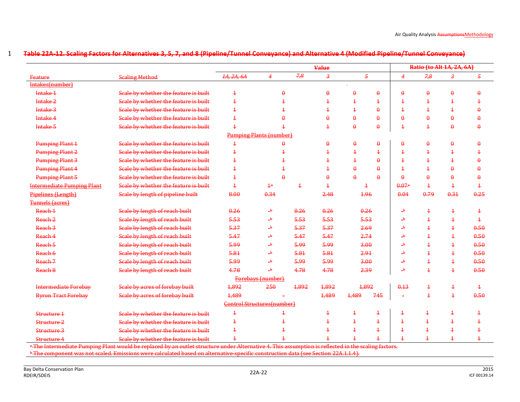|                                   |                                       |                                   |                          |                | <b>Value</b>            |                |                |                         | Ratio (to Alt 1A, 2A, 6A) |                         |                         |
|-----------------------------------|---------------------------------------|-----------------------------------|--------------------------|----------------|-------------------------|----------------|----------------|-------------------------|---------------------------|-------------------------|-------------------------|
| Feature                           | <b>Scaling Method</b>                 | 1A, 2A, 6A                        | 4                        | 7,8            | $\overline{\mathbf{3}}$ | $\overline{5}$ |                | $\overline{4}$          | 7,8                       | $\boldsymbol{\beta}$    | 5                       |
| Intakes(number)                   |                                       |                                   |                          |                |                         |                |                |                         |                           |                         |                         |
| Intake 1                          | Scale by whether the feature is built | $\ddagger$                        | $\theta$                 |                | $\theta$                | $\theta$       | $\theta$       | $\theta$                | $\theta$                  | $\theta$                | $\theta$                |
| Intake <sub>2</sub>               | Scale by whether the feature is built | $\ddagger$                        | $\overline{1}$           |                | $\overline{\textbf{1}}$ | $\overline{1}$ | $\overline{1}$ | $\overline{\textbf{1}}$ | 4                         | $\ddagger$              | $\overline{1}$          |
| Intake 3                          | Scale by whether the feature is built | $\overline{1}$                    |                          |                | $\overline{1}$          | $\overline{1}$ | $\theta$       | $\overline{1}$          | $\overline{1}$            | $\overline{1}$          | $\theta$                |
| Intake 4                          | Scale by whether the feature is built | $\ddagger$                        | $\theta$                 |                |                         | $\theta$       | $\theta$       | $\theta$                | $\theta$                  | $\theta$                | $\theta$                |
| Intake 5                          | Scale by whether the feature is built | $\overline{1}$                    | $\overline{1}$           |                | $\overline{1}$          | $\theta$       | $\theta$       | $\overline{1}$          | $\overline{1}$            | $\theta$                | $\theta$                |
|                                   |                                       | <b>Pumping Plants (number)</b>    |                          |                |                         |                |                |                         |                           |                         |                         |
| <b>Pumping Plant 1</b>            | Scale by whether the feature is built | $\ddagger$                        | $\theta$                 |                | $\theta$                | $\theta$       | $\theta$       | $\theta$                | $\boldsymbol{\theta}$     | $\theta$                | $\theta$                |
| <b>Pumping Plant 2</b>            | Scale by whether the feature is built | $\ddagger$                        | $\overline{\texttt{+}}$  |                | 4                       | $\ddagger$     | $\overline{1}$ | $\mathbf 4$             | 4                         | $\overline{1}$          | $\ddagger$              |
| <b>Pumping Plant 3</b>            | Scale by whether the feature is built | $\ddagger$                        |                          |                | 4                       | $\ddagger$     | $\theta$       | $\overline{1}$          | $\overline{\textbf{1}}$   | $\overline{\textbf{1}}$ | $\theta$                |
| <b>Pumping Plant 4</b>            | Scale by whether the feature is built | $\ddagger$                        | $\overline{1}$           |                | $\overline{1}$          | $\theta$       | $\theta$       | $\overline{\textbf{1}}$ | 4                         | $\pmb{\theta}$          | $\theta$                |
| <b>Pumping Plant 5</b>            | Scale by whether the feature is built | $\ddagger$                        | $\theta$                 |                | A                       | $\theta$       | $\theta$       | $\theta$                | $\theta$                  | $\pmb{\theta}$          | $\theta$                |
| <b>Intermediate Pumping Plant</b> | Scale by whether the feature is built | $\overline{1}$                    | 4 <sup>a</sup>           | $\overline{1}$ | $\overline{\textbf{1}}$ | $\ddagger$     |                | 0.07a                   | $\overline{1}$            | $\ddagger$              | $\ddagger$              |
| Pipelines (Length)                | Scale by length of pipeline built     | 8.00                              | 0.34                     |                | 2.48                    | 1.96           |                | 0.04                    | 0.79                      | 0.31                    | 0.25                    |
| <b>Tunnels (acres)</b>            |                                       |                                   |                          |                |                         |                |                |                         |                           |                         |                         |
| Reach 1                           | Scale by length of reach built        | 0.26                              | ᆠ                        | 0.26           | 0.26                    | 0.26           |                | ط۔                      | $\overline{1}$            | $\overline{1}$          | $\ddagger$              |
| Reach 2                           | Scale by length of reach built        | 5.53                              | $\overline{\mathbf{b}}$  | 5.53           | 5.53                    | 5.53           |                | $\rightarrow$           | $\overline{1}$            | $\overline{1}$          | $\overline{1}$          |
| Reach 3                           | Scale by length of reach built        | 5.37                              | ط۔                       | 5.37           | 5.37                    | 2.69           |                | ىل                      | $\overline{1}$            | $\ddagger$              | 0.50                    |
| Reach 4                           | Scale by length of reach built        | 5.47                              | ط۔                       | 5.47           | 5.47                    | 2.74           |                | طہ                      | $\overline{1}$            | $\overline{1}$          | 0.50                    |
| Reach 5                           | Scale by length of reach built        | 5.99                              | $\overline{\mathbf{b}}$  | 5.99           | 5.99                    | 3.00           |                | $\overline{\mathbf{a}}$ | $\overline{1}$            | $\overline{1}$          | 0.50                    |
| Reach 6                           | Scale by length of reach built        | 5.81                              | $\overline{\mathbf{a}}$  | 5.81           | 5.81                    | 2.91           |                | $\overline{\mathbf{a}}$ | $\overline{1}$            | $\overline{1}$          | 0.50                    |
| Reach <sub>7</sub>                | Scale by length of reach built        | 5.99                              | $\overline{\mathbf{a}}$  | 5.99           | 5.99                    | 3.00           |                | $\overline{\mathbf{a}}$ | $\overline{1}$            | $\overline{1}$          | 0.50                    |
| Reach 8                           | Scale by length of reach built        | 4.78                              | $\mathbf{a}$             | 4.78           | 4.78                    | 2.39           |                | $\overline{\mathbf{a}}$ | $\overline{1}$            | $\overline{1}$          | 0.50                    |
|                                   |                                       |                                   | <b>Forebays</b> (number) |                |                         |                |                |                         |                           |                         |                         |
| <b>Intermediate Forebay</b>       | Scale by acres of forebay built       | 1,892                             | 250                      | 1,892          | 1,892                   | 1,892          |                | 0.13                    | $\overline{1}$            | $\overline{\textbf{1}}$ | $\overline{1}$          |
| <b>Byron Tract Forebay</b>        | Scale by acres of forebay built       | 1,489                             |                          |                | 1,489                   | 1,489          | 745            |                         | $\overline{1}$            | $\overline{1}$          | 0.50                    |
|                                   |                                       | <b>Control Structures(number)</b> |                          |                |                         |                |                |                         |                           |                         |                         |
| Structure 1                       | Scale by whether the feature is built | $\ddagger$                        | $\ddagger$               |                | $\ddagger$              | $\ddagger$     | $\ddagger$     | $\ddagger$              | $\ddagger$                | $\ddagger$              | $\ddagger$              |
| Structure 2                       | Scale by whether the feature is built | $\ddagger$                        |                          |                | $\overline{\textbf{1}}$ | $\ddagger$     | $\overline{1}$ | $\ddagger$              | $\ddagger$                | $\ddagger$              | $\overline{\textbf{1}}$ |
| Structure 3                       | Scale by whether the feature is built | $\overline{1}$                    |                          |                |                         | $\ddagger$     | $\overline{1}$ | $\ddagger$              | $\ddagger$                | $\overline{1}$          | $\overline{1}$          |
| Structure 4                       | Scale by whether the feature is built | $\overline{1}$                    |                          |                | $\overline{1}$          | $\overline{1}$ | $\overline{1}$ | $\overline{1}$          | $\mathtt+$                | $\mathbf +$             | $\overline{1}$          |

1 **Table 22A-12. Scaling Factors for Alternatives 3, 5, 7, and 8 (Pipeline/Tunnel Conveyance) and Alternative 4 (Modified Pipeline/Tunnel Conveyance)** 

<sup>a</sup> The Intermediate Pumping Plant would be replaced by an outlet structure under Alternative 4. This assumption is reflected in the scaling factors.

 $^{\rm b}$ The component was not scaled. Emissions were calculated based on alternative-specific construction data (see Section 22A.1.1.4).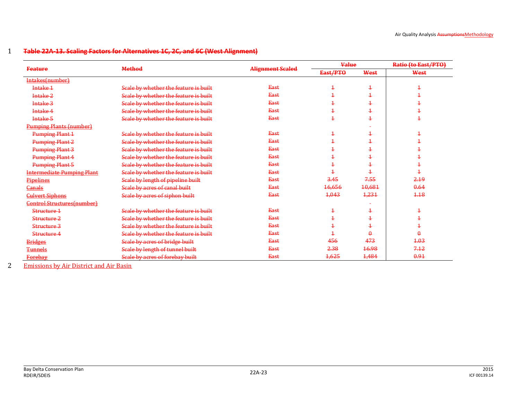#### 1 **Table 22A-13. Scaling Factors for Alternatives 1C, 2C, and 6C (West Alignment)**

|                                   |                                       |                         | <b>Value</b>      |                               | Ratio (to East/PTO) |
|-----------------------------------|---------------------------------------|-------------------------|-------------------|-------------------------------|---------------------|
| <b>Feature</b>                    | <b>Method</b>                         | <b>Alignment Scaled</b> | East/PTO          | West                          | West                |
| Intakes(number)                   |                                       |                         |                   |                               |                     |
| Intake 1                          | Scale by whether the feature is built | <b>East</b>             | $\pm$             | Ŧ                             | ÷                   |
| Intake <sub>2</sub>               | Scale by whether the feature is built | <b>East</b>             | 4                 | ÷                             |                     |
| Intake 3                          | Scale by whether the feature is built | East                    | 4                 | $\hbox{\large\it I}$          |                     |
| Intake 4                          | Scale by whether the feature is built | <b>East</b>             | 4                 | ÷                             |                     |
| Intake <sub>5</sub>               | Scale by whether the feature is built | East                    | 4                 | 4                             |                     |
| <b>Pumping Plants (number)</b>    |                                       |                         |                   |                               |                     |
| <b>Pumping Plant 1</b>            | Scale by whether the feature is built | <b>East</b>             | 4                 | $\pm$                         | ±                   |
| <b>Pumping Plant 2</b>            | Scale by whether the feature is built | <b>East</b>             | 4                 | $\textcolor{red}{\texttt{+}}$ |                     |
| <b>Pumping Plant 3</b>            | Scale by whether the feature is built | <b>East</b>             | 4                 | $\textcolor{red}{\textbf{1}}$ |                     |
| <b>Pumping Plant 4</b>            | Scale by whether the feature is built | <b>East</b>             | ÷                 |                               |                     |
| Pumping Plant 5                   | Scale by whether the feature is built | East                    | 4                 | ÷                             |                     |
| <b>Intermediate Pumping Plant</b> | Scale by whether the feature is built | <b>East</b>             | ┹                 | Ŧ                             | ÷                   |
| Pipelines                         | Scale by length of pipeline built     | East                    | 3.45              | 7.55                          | 2.19                |
| <b>Canals</b>                     | Scale by acres of canal built         | <b>East</b>             | <del>16,656</del> | 10,681                        | 0.64                |
| <b>Culvert Siphons</b>            | Scale by acres of siphon built        | East                    | 4,043             | 1,231                         | 4.18                |
| <b>Control Structures(number)</b> |                                       |                         |                   |                               |                     |
| Structure 1                       | Scale by whether the feature is built | <b>East</b>             | Ŧ                 | Ŧ                             | Ŧ                   |
| Structure 2                       | Scale by whether the feature is built | <b>East</b>             | $\mathbf +$       | $\pm$                         | ÷                   |
| Structure 3                       | Scale by whether the feature is built | <b>East</b>             | 4                 | ÷                             | ÷                   |
| Structure 4                       | Scale by whether the feature is built | <b>East</b>             |                   | $\Omega$                      |                     |
| <b>Bridges</b>                    | Scale by acres of bridge built        | East                    | 456               | 473                           | 4.03                |
| <b>Tunnels</b>                    | Scale by length of tunnel built       | <b>East</b>             | 2.38              | 16.98                         | 7.12                |
| <b>Forebay</b>                    | Scale by acres of forebay built       | East                    | 1,625             | 1,484                         | 0.91                |

2 Emissions by Air District and Air Basin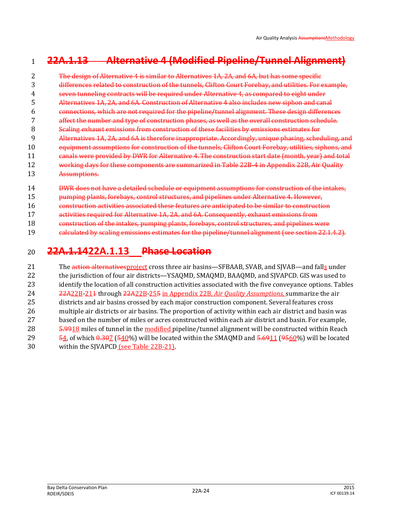## **22A.1.13 Alternative 4 (Modified Pipeline/Tunnel Alignment)**

 The design of Alternative 4 is similar to Alternatives 1A, 2A, and 6A, but has some specific differences related to construction of the tunnels, Clifton Court Forebay, and utilities. For example, seven tunneling contracts will be required under Alternative 4, as compared to eight under Alternatives 1A, 2A, and 6A. Construction of Alternative 4 also includes new siphon and canal connections, which are not required for the pipeline/tunnel alignment. These design differences affect the number and type of construction phases, as well as the overall construction schedule. Scaling exhaust emissions from construction of these facilities by emissions estimates for Alternatives 1A, 2A, and 6A is therefore inappropriate. Accordingly, unique phasing, scheduling, and equipment assumptions for construction of the tunnels, Clifton Court Forebay, utilities, siphons, and 11 canals were provided by DWR for Alternative 4. The construction start date (month, year) and total working days for these components are summarized in Table 22B-4 in Appendix 22B, Air Quality Assumptions.

- 14 DWR does not have a detailed schedule or equipment assumptions for construction of the intakes,
- 15 pumping plants, forebays, control structures, and pipelines under Alternative 4. However,

construction activities associated these features are anticipated to be similar to construction

activities required for Alternative 1A, 2A, and 6A. Consequently, exhaust emissions from

construction of the intakes, pumping plants, forebays, control structures, and pipelines were

19 calculated by scaling emissions estimates for the pipeline/tunnel alignment (see section 22.1.4.2).

### **22A.1.1422A.1.13 Phase Location**

21 The action alternatives project cross three air basins—SFBAAB, SVAB, and SIVAB—and falls under the jurisdiction of four air districts—YSAQMD, SMAQMD, BAAQMD, and SJVAPCD. GIS was used to identify the location of all construction activities associated with the five conveyance options. Tables 22A22B-211 through 22A22B-255 in Appendix 22B, *Air Quality Assumptions,* summarize the air districts and air basins crossed by each major construction component. Several features cross multiple air districts or air basins. The proportion of activity within each air district and basin was based on the number of miles or acres constructed within each air district and basin. For example, 28 5.9918 miles of tunnel in the modified pipeline/tunnel alignment will be constructed within Reach 29 54, of which  $0.307$  (540%) will be located within the SMAQMD and 5.6911 (9560%) will be located within the SJVAPCD (see Table 22B-21).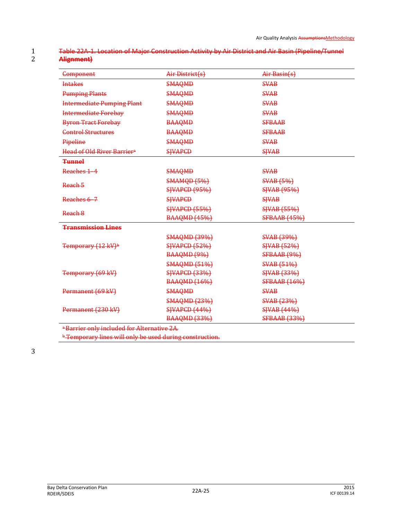### 1 Table 22A-1. Location of Major Construction Activity by Air District and Air Basin (Pipeline/Tunnel<br>2 **Alignment**) 2 **Alignment)**

| Component                                              | Air District(s)      | Air Basin(s)        |
|--------------------------------------------------------|----------------------|---------------------|
| <b>Intakes</b>                                         | <b>SMAQMD</b>        | <b>SVAB</b>         |
| <b>Pumping Plants</b>                                  | <b>SMAQMD</b>        | <b>SVAB</b>         |
| <b>Intermediate Pumping Plant</b>                      | <b>SMAQMD</b>        | <b>SVAB</b>         |
| <b>Intermediate Forebay</b>                            | <b>SMAQMD</b>        | <b>SVAB</b>         |
| <b>Byron Tract Forebay</b>                             | <b>BAAQMD</b>        | <b>SFBAAB</b>       |
| <b>Control Structures</b>                              | <b>BAAQMD</b>        | <b>SFBAAB</b>       |
| Pipeline                                               | <b>SMAQMD</b>        | <b>SVAB</b>         |
| Head of Old River Barrier <sup>a</sup>                 | <b>SIVAPCD</b>       | <b>SHVAB</b>        |
| <b>Tunnel</b>                                          |                      |                     |
| Reaches 1-4                                            | <b>SMAQMD</b>        | <b>SVAB</b>         |
| Reach 5                                                | <b>SMAMQD (5%)</b>   | <b>SVAB</b> (5%)    |
|                                                        | <b>SJVAPCD (95%)</b> | <b>SJVAB</b> (95%)  |
| Reaches 6-7                                            | <b>SHVAPCD</b>       | <b>SHVAB</b>        |
| Reach 8                                                | <b>SJVAPCD (55%)</b> | <b>SJVAB</b> (55%)  |
|                                                        | <b>BAAQMD (45%)</b>  | <b>SFBAAB</b> (45%) |
| <b>Transmission Lines</b>                              |                      |                     |
|                                                        | <b>SMAQMD (39%)</b>  | <b>SVAB</b> (39%)   |
| Temporary (12 kV) <sup>b</sup>                         | <b>SJVAPCD (52%)</b> | <b>SJVAB</b> (52%)  |
|                                                        | <b>BAAQMD (9%)</b>   | SFBAAB (9%)         |
|                                                        | <b>SMAQMD (51%)</b>  | <b>SVAB (51%)</b>   |
| Temporary (69 kV)                                      | <b>SWAPCD (33%)</b>  | <b>SJVAB</b> (33%)  |
|                                                        | <b>BAAQMD (16%)</b>  | <b>SFBAAB</b> (16%) |
| Permanent (69 kV)                                      | <b>SMAQMD</b>        | <b>SVAB</b>         |
|                                                        | <b>SMAQMD (23%)</b>  | <b>SVAB</b> (23%)   |
| Permanent (230 kV)                                     | <b>SIVAPCD (44%)</b> | <b>SJVAB</b> (44%)  |
|                                                        | <b>BAAQMD (33%)</b>  | <b>SFBAAB (33%)</b> |
| <sup>a</sup> Barrier only included for Alternative 2A. |                      |                     |

**b Temporary lines will only be used during construction.** 

3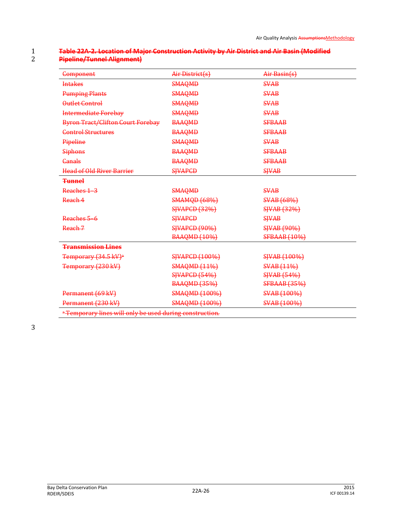| Component                                | Air District(s)       | Air Basin(s)        |
|------------------------------------------|-----------------------|---------------------|
| <b>Intakes</b>                           | <b>SMAQMD</b>         | <b>SVAB</b>         |
| <b>Pumping Plants</b>                    | <b>SMAQMD</b>         | <b>SVAB</b>         |
| Outlet Control                           | <b>SMAQMD</b>         | <b>SVAB</b>         |
| <b>Intermediate Forebay</b>              | <b>SMAQMD</b>         | <b>SVAB</b>         |
| <b>Byron Tract/Clifton Court Forebay</b> | <b>BAAQMD</b>         | <b>SFBAAB</b>       |
| <b>Control Structures</b>                | <b>BAAQMD</b>         | <b>SFBAAB</b>       |
| Pipeline                                 | <b>SMAQMD</b>         | <b>SVAB</b>         |
| <b>Siphons</b>                           | <b>BAAQMD</b>         | <b>SFBAAB</b>       |
| Canals                                   | <b>BAAQMD</b>         | <b>SFBAAB</b>       |
| <b>Head of Old River Barrier</b>         | <b>SJVAPCD</b>        | <b>SHVAB</b>        |
| <b>Tunnel</b>                            |                       |                     |
| Reaches 1-3                              | <b>SMAQMD</b>         | <b>SVAB</b>         |
| Reach 4                                  | <b>SMAMQD (68%)</b>   | <b>SVAB (68%)</b>   |
|                                          | <b>SWAPCD (32%)</b>   | <b>SJVAB</b> (32%)  |
| Reaches 5-6                              | <b>SIVAPCD</b>        | <b>SHVAB</b>        |
| Reach 7                                  | <b>SJVAPCD (90%)</b>  | <b>SJVAB</b> (90%)  |
|                                          | <b>BAAQMD (10%)</b>   | <b>SFBAAB</b> (10%) |
| <b>Transmission Lines</b>                |                       |                     |
| Temporary (34.5 kV) <sup>a</sup>         | <b>SJVAPCD (100%)</b> | <b>SJVAB</b> (100%) |
| Temporary (230 kV)                       | <b>SMAQMD (11%)</b>   | <b>SVAB (11%)</b>   |
|                                          | <b>SJVAPCD (54%)</b>  | <b>SJVAB (54%)</b>  |
|                                          | <b>BAAQMD (35%)</b>   | <b>SFBAAB</b> (35%) |
| Permanent (69 kV)                        | <b>SMAQMD (100%)</b>  | SVAB (100%)         |
| Permanent (230 kV)                       | <b>SMAQMD (100%)</b>  | <b>SVAB</b> (100%)  |

#### 1 **Table 22A-2. Location of Major Construction Activity by Air District and Air Basin (Modified**  2 **Pipeline/Tunnel Alignment)**

3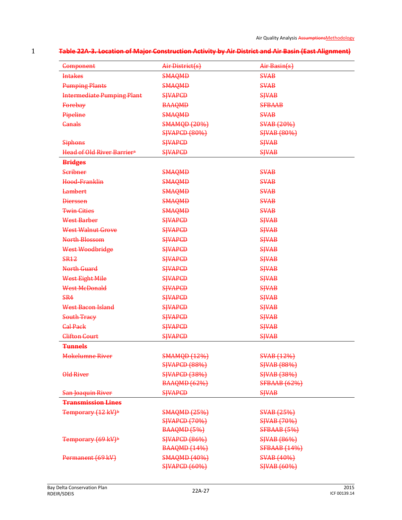Air Quality Analysis AssumptionsMethodology

| <b>Table 22A 3. Location of Major Construction Activity by Air District and Air Basin (East Alignment)</b> |
|------------------------------------------------------------------------------------------------------------|
|                                                                                                            |

| Component                              | Air District(s)      | Air Basin(s)        |
|----------------------------------------|----------------------|---------------------|
| <b>Intakes</b>                         | <b>SMAQMD</b>        | <b>SVAB</b>         |
| <b>Pumping Plants</b>                  | <b>SMAQMD</b>        | <b>SVAB</b>         |
| <b>Intermediate Pumping Plant</b>      | <b>SIVAPCD</b>       | <b>SHVAB</b>        |
| Forebay                                | <b>BAAQMD</b>        | <b>SFBAAB</b>       |
| Pipeline                               | <b>SMAQMD</b>        | <b>SVAB</b>         |
| <b>Canals</b>                          | <b>SMAMQD (20%)</b>  | <b>SVAB (20%)</b>   |
|                                        | <b>SWAPCD (80%)</b>  | <b>SJVAB</b> (80%)  |
| <b>Siphons</b>                         | <b>SHVAPCD</b>       | <b>SHVAB</b>        |
| Head of Old River Barrier <sup>a</sup> | <b>SIVAPCD</b>       | <b>SJVAB</b>        |
| <b>Bridges</b>                         |                      |                     |
| <b>Scribner</b>                        | <b>SMAQMD</b>        | <b>SVAB</b>         |
| Hood-Franklin                          | <b>SMAQMD</b>        | <b>SVAB</b>         |
| <b>Lambert</b>                         | <b>SMAQMD</b>        | <b>SVAB</b>         |
| <b>Dierssen</b>                        | <b>SMAQMD</b>        | <b>SVAB</b>         |
| <b>Twin Cities</b>                     | <b>SMAQMD</b>        | <b>SVAB</b>         |
| West Barber                            | <b>SHVAPCD</b>       | <b>SHVAB</b>        |
| <b>West Walnut Grove</b>               | <b>SHVAPCD</b>       | <b>SHVAB</b>        |
| North Blossom                          | <b>SIVAPCD</b>       | <b>SHVAB</b>        |
| West Woodbridge                        | <b>SIVAPCD</b>       | <b>SHVAB</b>        |
| <b>SR12</b>                            | <b>SIVAPCD</b>       | <b>SHVAB</b>        |
| North Guard                            | <b>SIVAPCD</b>       | <b>SHVAB</b>        |
| West Eight Mile                        | <b>SHVAPCD</b>       | <b>SHVAB</b>        |
| West McDonald                          | <b>SIVAPCD</b>       | <b>SHVAB</b>        |
| <b>SR4</b>                             | <b>SHVAPCD</b>       | <b>SHVAB</b>        |
| West Bacon Island                      | <b>SIVAPCD</b>       | <b>SHVAB</b>        |
| <b>South Tracy</b>                     | <b>SIVAPCD</b>       | <b>SHVAB</b>        |
| <b>Cal Pack</b>                        | <b>SIVAPCD</b>       | <b>SHVAB</b>        |
| <b>Clifton Court</b>                   | <b>SJVAPCD</b>       | <b>SJVAB</b>        |
| <b>Tunnels</b>                         |                      |                     |
| <b>Mokelumne River</b>                 | <b>SMAMQD (12%)</b>  | <b>SVAB</b> (12%)   |
|                                        | <b>SJVAPCD (88%)</b> | <b>SJVAB</b> (88%)  |
| <b>Old River</b>                       | <b>SHAPCD (38%)</b>  | <b>SJVAB (38%)</b>  |
|                                        | <b>BAAQMD (62%)</b>  | <b>SFBAAB</b> (62%) |
| San Joaquin River                      | <b>SHVAPCD</b>       | <b>SJVAB</b>        |
| <b>Transmission Lines</b>              |                      |                     |
| Temporary (12 kV) <sup>b</sup>         | <b>SMAQMD (25%)</b>  | <b>SVAB</b> (25%)   |
|                                        | <b>SHVAPCD (70%)</b> | <b>SJVAB</b> (70%)  |
|                                        | <b>BAAQMD (5%)</b>   | <b>SFBAAB</b> (5%)  |
| Temporary (69 kV) <sup>b</sup>         | <b>SJVAPCD (86%)</b> | <b>SJVAB</b> (86%)  |
|                                        | <b>BAAQMD (14%)</b>  | <b>SFBAAB</b> (14%) |
| Permanent (69 kV)                      | <b>SMAQMD (40%)</b>  | <b>SVAB (40%)</b>   |
|                                        | <b>SJVAPCD (60%)</b> | <b>SJVAB</b> (60%)  |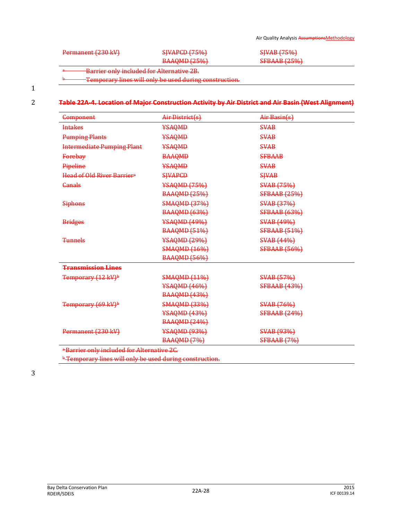| Darmnnant (230 V)<br>$1 \text{ cm}$ manche 1400 KVJ | CIVADCD(T50 <sub>6</sub> )<br>$\sigma$ | $CIVAP$ $(750\%)$<br>$\overline{U}$                      |
|-----------------------------------------------------|----------------------------------------|----------------------------------------------------------|
|                                                     | RAMOMD (250.1)<br>77.1                 | CERAAR (250A)<br>$\frac{1}{21}$ britis $\frac{1}{20}$ or |
|                                                     |                                        |                                                          |

Temporary lines will only be used during construction.

### 2 **Table 22A-4. Location of Major Construction Activity by Air District and Air Basin (West Alignment)**

| <del>Component</del>                   | Air District(s)     | Air Basin(s)        |
|----------------------------------------|---------------------|---------------------|
| <b>Intakes</b>                         | YSAQMD              | <b>SVAB</b>         |
| <b>Pumping Plants</b>                  | YSAQMD              | <b>SVAB</b>         |
| <b>Intermediate Pumping Plant</b>      | YSAQMD              | <b>SVAB</b>         |
| Forebay                                | <b>BAAQMD</b>       | <b>SFBAAB</b>       |
| Pipeline                               | YSAQMD              | <b>SVAB</b>         |
| Head of Old River Barrier <sup>a</sup> | <b>SHVAPCD</b>      | <b>SHVAB</b>        |
| Canals                                 | <b>¥SAQMD (75%)</b> | <b>SVAB</b> (75%)   |
|                                        | <b>BAAQMD (25%)</b> | <b>SFBAAB</b> (25%) |
| <b>Siphons</b>                         | <b>SMAQMD (37%)</b> | <b>SVAB</b> (37%)   |
|                                        | <b>BAAQMD (63%)</b> | <b>SFBAAB</b> (63%) |
| <b>Bridges</b>                         | <b>¥SAQMD (49%)</b> | <b>SVAB (49%)</b>   |
|                                        | <b>BAAQMD (51%)</b> | <b>SFBAAB</b> (51%) |
| <del>Tunnels</del>                     | <b>¥SAQMD (29%)</b> | <b>SVAB</b> (44%)   |
|                                        | <b>SMAQMD (16%)</b> | <b>SFBAAB (56%)</b> |
|                                        | <b>BAAQMD (56%)</b> |                     |
| <b>Transmission Lines</b>              |                     |                     |
| Temporary (12 kV) <sup>b</sup>         | <b>SMAQMD (11%)</b> | <b>SVAB</b> (57%)   |
|                                        | <b>¥SAQMD (46%)</b> | <b>SFBAAB</b> (43%) |
|                                        | <b>BAAQMD (43%)</b> |                     |
| Temporary (69 kV) <sup>b</sup>         | <b>SMAQMD (33%)</b> | <b>SVAB</b> (76%)   |
|                                        | <b>¥SAQMD (43%)</b> | <b>SFBAAB (24%)</b> |
|                                        | <b>BAAQMD (24%)</b> |                     |
| Permanent (230 kV)                     | <b>¥SAQMD (93%)</b> | <b>SVAB</b> (93%)   |
|                                        | <b>BAAQMD (7%)</b>  | <b>SFBAAB</b> (7%)  |

**b Temporary lines will only be used during construction.**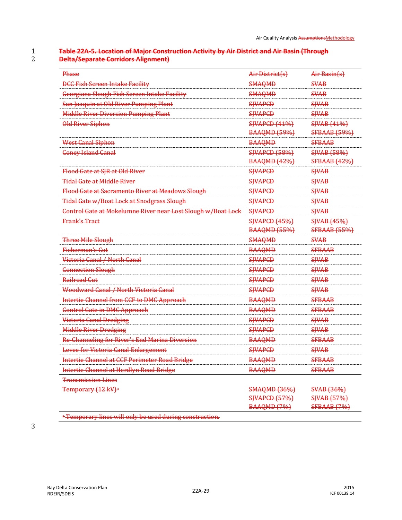#### 1 **Table 22A-5. Location of Major Construction Activity by Air District and Air Basin (Through**  2 **Delta/Separate Corridors Alignment)**

| Phase                                                        | Air-District(s)      | Air Basin(s)        |
|--------------------------------------------------------------|----------------------|---------------------|
| <b>DCC Fish Screen Intake Facility</b>                       | <b>SMAQMD</b>        | <b>SVAB</b>         |
| Georgiana Slough Fish Screen Intake Facility                 | <b>SMAQMD</b>        | <b>SVAB</b>         |
| San Joaquin at Old River Pumping Plant                       | <b>SHVAPCD</b>       | <b>SJVAB</b>        |
| <b>Middle River Diversion Pumping Plant</b>                  | <b>SHVAPCD</b>       | <b>SJVAB</b>        |
| <b>Old River Siphon</b>                                      | <b>SJVAPCD (41%)</b> | <b>SJVAB</b> (41%)  |
|                                                              | <b>BAAQMD (59%)</b>  | <b>SFBAAB (59%)</b> |
| <b>West Canal Siphon</b>                                     | <b>BAAQMD</b>        | <b>SFBAAB</b>       |
| <b>Coney Island Canal</b>                                    | <b>SJVAPCD (58%)</b> | <b>SJVAB</b> (58%)  |
|                                                              | <b>BAAQMD (42%)</b>  | <b>SFBAAB</b> (42%) |
| Flood Gate at SJR at Old River                               | <b>SHVAPCD</b>       | <b>SJVAB</b>        |
| <b>Tidal Gate at Middle River</b>                            | <b>SJVAPCD</b>       | <b>SJVAB</b>        |
| Flood Gate at Sacramento River at Meadows Slough             | <b>SHVAPCD</b>       | <b>SJVAB</b>        |
| <b>Tidal Gate w/Boat Lock at Snodgrass Slough</b>            | <b>SHVAPCD</b>       | <b>SJVAB</b>        |
| Control Gate at Mokelumne River near Lost Slough w/Boat Lock | <b>SHVAPCD</b>       | <b>SJVAB</b>        |
| <b>Frank's Tract</b>                                         | <b>SJVAPCD (45%)</b> | <b>SJVAB</b> (45%)  |
|                                                              | <b>BAAQMD (55%)</b>  | <b>SFBAAB (55%)</b> |
| <b>Three Mile Slough</b>                                     | <b>SMAQMD</b>        | <b>SVAB</b>         |
| <b>Fisherman's Cut</b>                                       | <b>BAAQMD</b>        | <b>SFBAAB</b>       |
| Victoria Canal / North Canal                                 | <b>SJVAPCD</b>       | <b>SJVAB</b>        |
| <b>Connection Slough</b>                                     | <b>SHVAPCD</b>       | <b>SJVAB</b>        |
| Railroad Cut                                                 | <b>SHVAPCD</b>       | <b>SJVAB</b>        |
| Woodward Canal / North Victoria Canal                        | <b>SHVAPCD</b>       | <b>SJVAB</b>        |
| Intertie Channel from CCF to DMC Approach                    | <b>BAAQMD</b>        | <b>SFBAAB</b>       |
| <b>Control Gate in DMC Approach</b>                          | <b>BAAQMD</b>        | <b>SFBAAB</b>       |
| <b>Victoria Canal Dredging</b>                               | <b>SHVAPCD</b>       | <b>SJVAB</b>        |
| <b>Middle River Dredging</b>                                 | <b>SHVAPCD</b>       | <b>SJVAB</b>        |
| <b>Re-Channeling for River's End Marina Diversion</b>        | <b>BAAQMD</b>        | <b>SFBAAB</b>       |
| <b>Levee for Victoria Canal Enlargement</b>                  | <b>SIVAPCD</b>       | <b>SHVAB</b>        |
| <b>Intertie Channel at CCF Perimeter Road Bridge</b>         | <b>BAAQMD</b>        | <b>SFBAAB</b>       |
| Intertie Channel at Herdlyn Road Bridge                      | <b>BAAQMD</b>        | <b>SFBAAB</b>       |
| <b>Transmission Lines</b>                                    |                      |                     |
| Temporary (12 kV) <sup>a</sup>                               | <b>SMAQMD (36%)</b>  | <b>SVAB</b> (36%)   |
|                                                              | <b>SJVAPCD (57%)</b> | SJVAB (57%)         |
|                                                              | BAAQMD (7%)          | <b>SFBAAB</b> (7%)  |

<sup>a</sup> Temporary lines will only be used during construction.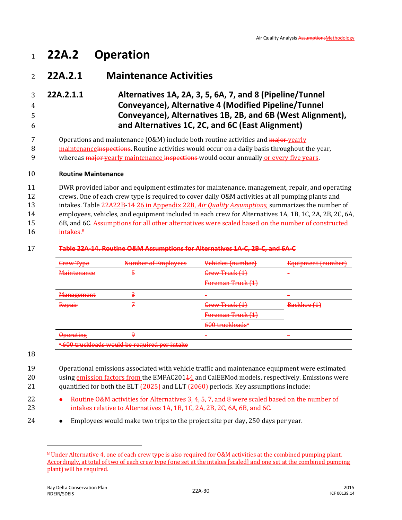# <sup>1</sup> **22A.2 Operation**

## <sup>2</sup> **22A.2.1 Maintenance Activities**

### 3 **22A.2.1.1 Alternatives 1A, 2A, 3, 5, 6A, 7, and 8 (Pipeline/Tunnel**  4 **Conveyance), Alternative 4 (Modified Pipeline/Tunnel**  5 **Conveyance), Alternatives 1B, 2B, and 6B (West Alignment),**  6 **and Alternatives 1C, 2C, and 6C (East Alignment)**

7 Operations and maintenance (O&M) include both routine activities and major yearly

8 maintenance in spections. Routine activities would occur on a daily basis throughout the year,

9 whereas major yearly maintenance inspections would occur annually or every five years.

### 10 **Routine Maintenance**

 DWR provided labor and equipment estimates for maintenance, management, repair, and operating crews. One of each crew type is required to cover daily O&M activities at all pumping plants and intakes. Table 22A22B-14 26 in Appendix 22B, *Air Quality Assumptions,* summarizes the number of employees, vehicles, and equipment included in each crew for Alternatives 1A, 1B, 1C, 2A, 2B, 2C, 6A, 6B, and 6C. Assumptions for all other alternatives were scaled based on the number of constructed  $16$  intakes. $8$ 

### 17 **Table 22A-14. Routine O&M Assumptions for Alternatives 1A-C, 2B-C, and 6A-C**

| <b>Crew Type</b>   | Number of Employees                           | Vehicles (number)           | Equipment (number) |
|--------------------|-----------------------------------------------|-----------------------------|--------------------|
| <b>Maintenance</b> | a                                             | Grew Truck (1)              |                    |
|                    |                                               | Foreman Truck (1)           |                    |
| <b>Management</b>  |                                               |                             |                    |
| Repair             |                                               | Grew Truck (1)              | Backhoe (1)        |
|                    |                                               | Foreman Truck (1)           |                    |
|                    |                                               | 600 truckloads <sup>a</sup> |                    |
| <b>Operating</b>   |                                               |                             |                    |
|                    | a 600 truckloads would be required per intake |                             |                    |

#### 18

 $\overline{\phantom{0}}$ 

19 Operational emissions associated with vehicle traffic and maintenance equipment were estimated 20 using emission factors from the EMFAC20144 and CalEEMod models, respectively. Emissions were 21 quantified for both the ELT (2025) and LLT (2060) periods. Key assumptions include:

- 22 **•** Routine O&M activities for Alternatives 3, 4, 5, 7, and 8 were scaled based on the number of 23 intakes relative to Alternatives 1A, 1B, 1C, 2A, 2B, 2C, 6A, 6B, and 6C.
- 24 Employees would make two trips to the project site per day, 250 days per year.

<sup>8</sup> Under Alternative 4, one of each crew type is also required for O&M activities at the combined pumping plant. Accordingly, at total of two of each crew type (one set at the intakes [scaled] and one set at the combined pumping plant) will be required.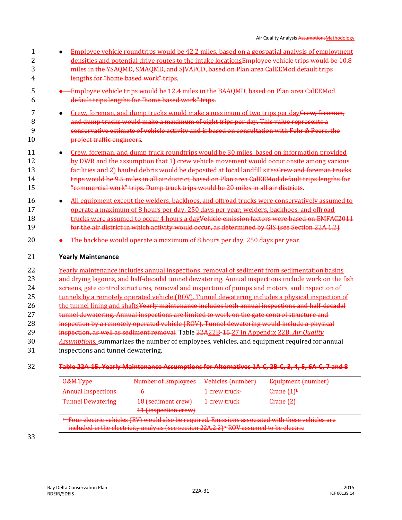- Employee vehicle roundtrips would be 42.2 miles, based on a geospatial analysis of employment 2 densities and potential drive routes to the intake locations Employee vehicle trips would be 10.8 miles in the YSAQMD, SMAQMD, and SJVAPCD, based on Plan area CalEEMod default trips lengths for "home based work" trips.
- Employee vehicle trips would be 12.4 miles in the BAAQMD, based on Plan area CalEEMod default trips lengths for "home based work" trips.
- 7 **Crew, foreman, and dump trucks would make a maximum of two trips per day<del>Crew, foreman,</del>**  and dump trucks would make a maximum of eight trips per day. This value represents a conservative estimate of vehicle activity and is based on consultation with Fehr & Peers, the project traffic engineers.
- **•** Crew, foreman, and dump truck roundtrips would be 30 miles, based on information provided 12 by DWR and the assumption that 1) crew vehicle movement would occur onsite among various 13 facilities and 2) hauled debris would be deposited at local landfill sites Grew and foreman trucks trips would be 9.5 miles in all air district, based on Plan area CalEEMod default trips lengths for "commercial work" trips. Dump truck trips would be 20 miles in all air districts.
- **All equipment except the welders, backhoes, and offroad trucks were conservatively assumed to**  operate a maximum of 8 hours per day, 250 days per year; welders, backhoes, and offroad 18 trucks were assumed to occur 4 hours a day<del>Vehicle emission factors were based on EMFAC2011</del> **for the air district in which activity would occur, as determined by GIS (see Section 22A.1.2)**.
- **•** The backhoe would operate a maximum of 8 hours per day, 250 days per year.

### **Yearly Maintenance**

- Yearly maintenance includes annual inspections, removal of sediment from sedimentation basins and drying lagoons, and half-decadal tunnel dewatering. Annual inspections include work on the fish screens, gate control structures, removal and inspection of pumps and motors, and inspection of tunnels by a remotely operated vehicle (ROV). Tunnel dewatering includes a physical inspection of 26 the tunnel lining and shaftsYearly maintenance includes both annual inspections and half-decadal 27 tunnel dewatering. Annual inspections are limited to work on the gate control structure and **inspection by a remotely operated vehicle (ROV). Tunnel dewatering would include a physical**  inspection, as well as sediment removal. Table 22A22B-15 27 in Appendix 22B, *Air Quality Assumptions,* summarizes the number of employees, vehicles, and equipment required for annual inspections and tunnel dewatering.
- **Table 22A-15. Yearly Maintenance Assumptions for Alternatives 1A-C, 2B-C, 3, 4, 5, 6A-C, 7 and 8**

| O&M Type                  | Number of Employees  | Vehicles (number)                   | Equipment (number)               |
|---------------------------|----------------------|-------------------------------------|----------------------------------|
| <b>Annual Inspections</b> |                      | <del>1 crew truck<sup>a</sup></del> | $\frac{6 \text{rane } (1) b}{2}$ |
| <b>Tunnel Dewatering</b>  | 18 (sediment crew)   | <del>1 crew truck</del>             | $G$ rane $(2)$                   |
|                           | 11 (inspection crew) |                                     |                                  |

<sup>a</sup> Four electric vehicles (EV) would also be required. Emissions associated with these vehicles are included in the electricity analysis (see section  $22A.2.2$ )<sup> $b$ </sup> ROV assumed to be electric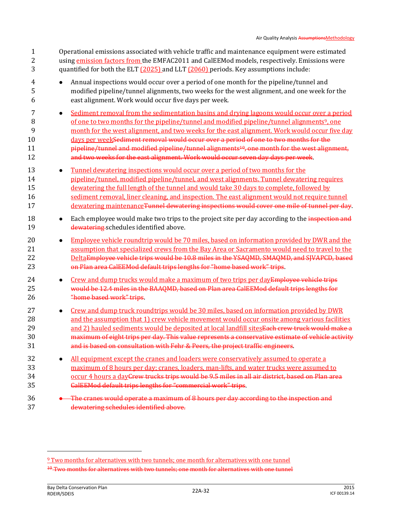| $\overline{2}$<br>3           | using emission factors from the EMFAC2011 and CalEEMod models, respectively. Emissions were<br>quantified for both the ELT (2025) and LLT (2060) periods. Key assumptions include:                                                                                                                                                                                                                                                                                                                                                                                                                           |
|-------------------------------|--------------------------------------------------------------------------------------------------------------------------------------------------------------------------------------------------------------------------------------------------------------------------------------------------------------------------------------------------------------------------------------------------------------------------------------------------------------------------------------------------------------------------------------------------------------------------------------------------------------|
| 4<br>5<br>6                   | Annual inspections would occur over a period of one month for the pipeline/tunnel and<br>modified pipeline/tunnel alignments, two weeks for the west alignment, and one week for the<br>east alignment. Work would occur five days per week.                                                                                                                                                                                                                                                                                                                                                                 |
| 7<br>8<br>9<br>10<br>11<br>12 | Sediment removal from the sedimentation basins and drying lagoons would occur over a period<br>$\bullet$<br>of one to two months for the pipeline/tunnel and modified pipeline/tunnel alignments <sup>9</sup> , one<br>month for the west alignment, and two weeks for the east alignment. Work would occur five day<br>days per weekSediment removal would occur over a period of one to two months for the<br>pipeline/tunnel and modified pipeline/tunnel alignments <sup>10</sup> , one month for the west alignment,<br>and two weeks for the east alignment. Work would occur seven day days per week. |
| 13<br>14<br>15<br>16<br>17    | Tunnel dewatering inspections would occur over a period of two months for the<br>$\bullet$<br>pipeline/tunnel, modified pipeline/tunnel, and west alignments. Tunnel dewatering requires<br>dewatering the full length of the tunnel and would take 30 days to complete, followed by<br>sediment removal, liner cleaning, and inspection. The east alignment would not require tunnel<br>dewatering maintenanceTunnel dewatering inspections would cover one mile of tunnel per day.                                                                                                                         |
| 18<br>19                      | Each employee would make two trips to the project site per day according to the inspection and<br>$\bullet$<br>dewatering schedules identified above.                                                                                                                                                                                                                                                                                                                                                                                                                                                        |
| 20<br>21<br>22<br>23          | Employee vehicle roundtrip would be 70 miles, based on information provided by DWR and the<br>$\bullet$<br>assumption that specialized crews from the Bay Area or Sacramento would need to travel to the<br>DeltaEmployee vehicle trips would be 10.8 miles in the YSAQMD, SMAQMD, and SJVAPCD, based<br>on Plan area CalEEMod default trips lengths for "home based work" trips.                                                                                                                                                                                                                            |
| 24<br>25<br>26                | Crew and dump trucks would make a maximum of two trips per dayEmployee vehicle trips<br>$\bullet$<br>would be 12.4 miles in the BAAQMD, based on Plan area CalEEMod default trips lengths for<br>"home based work" trips.                                                                                                                                                                                                                                                                                                                                                                                    |
| 27<br>28<br>29<br>30<br>31    | Crew and dump truck roundtrips would be 30 miles, based on information provided by DWR<br>$\bullet$<br>and the assumption that 1) crew vehicle movement would occur onsite among various facilities<br>and 2) hauled sediments would be deposited at local landfill sites Each crew truck would make a<br>maximum of eight trips per day. This value represents a conservative estimate of vehicle activity<br>and is based on consultation with Fehr & Peers, the project traffic engineers.                                                                                                                |
| 32<br>33<br>34<br>35          | All equipment except the cranes and loaders were conservatively assumed to operate a<br>maximum of 8 hours per day; cranes, loaders, man-lifts, and water trucks were assumed to<br>occur 4 hours a dayGrew trucks trips would be 9.5 miles in all air district, based on Plan area<br><b>CalEEMod default trips lengths for "commercial work" trips.</b>                                                                                                                                                                                                                                                    |
| 36<br>37                      | • The cranes would operate a maximum of 8 hours per day according to the inspection and<br>dewatering schedules identified above.                                                                                                                                                                                                                                                                                                                                                                                                                                                                            |

1 Operational emissions associated with vehicle traffic and maintenance equipment were estimated

 $\overline{\phantom{0}}$ 

<sup>&</sup>lt;sup>9</sup> Two months for alternatives with two tunnels; one month for alternatives with one tunnel

 $10$  Two months for alternatives with two tunnels; one month for alternatives with one tunnel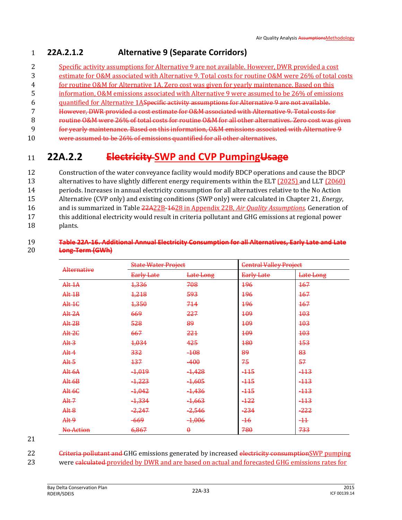### 1 **22A.2.1.2 Alternative 9 (Separate Corridors)**

- 2 Specific activity assumptions for Alternative 9 are not available. However, DWR provided a cost
- 3 estimate for O&M associated with Alternative 9. Total costs for routine O&M were 26% of total costs
- 4 for routine O&M for Alternative 1A. Zero cost was given for yearly maintenance. Based on this
- 5 information, O&M emissions associated with Alternative 9 were assumed to be 26% of emissions
- 6 quantified for Alternative 1ASpecific activity assumptions for Alternative 9 are not available.
- 7 However, DWR provided a cost estimate for O&M associated with Alternative 9. Total costs for
- 8 routine O&M were 26% of total costs for routine O&M for all other alternatives. Zero cost was given
- 9 for yearly maintenance. Based on this information, O&M emissions associated with Alternative 9
- 10 were assumed to be 26% of emissions quantified for all other alternatives.

## <sup>11</sup> **22A.2.2 Electricity SWP and CVP PumpingUsage**

 Construction of the water conveyance facility would modify BDCP operations and cause the BDCP 13 alternatives to have slightly different energy requirements within the ELT (2025) and LLT (2060) periods. Increases in annual electricity consumption for all alternatives relative to the No Action Alternative (CVP only) and existing conditions (SWP only) were calculated in Chapter 21, *Energy*, and is summarized in Table 22A22B-1628 in Appendix 22B, *Air Quality Assumptions*. Generation of this additional electricity would result in criteria pollutant and GHG emissions at regional power 18 plants.

### 19 **Table 22A-16. Additional Annual Electricity Consumption for all Alternatives, Early Late and Late**  20 **Long-Term (GWh)**

| <b>Alternative</b>     | <b>State Water Project</b> |                   | <b>Central Valley Project</b> |            |
|------------------------|----------------------------|-------------------|-------------------------------|------------|
|                        | <b>Early Late</b>          | Late Long         | Early Late                    | Late Long  |
| Alt 1A                 | 1,336                      | 708               | 196                           | 167        |
| $Alt$ <sup>1</sup> $B$ | 1,218                      | 593               | <b>196</b>                    | <b>167</b> |
| Alt 1C                 | 1,350                      | 714               | <b>196</b>                    | 167        |
| Alt 2A                 | 669                        | 227               | 109                           | 103        |
| Alt 2B                 | 528                        | 89                | 109                           | 103        |
| Alt2C                  | 667                        | 221               | <b>109</b>                    | 103        |
| Alt <sub>3</sub>       | 1,034                      | 425               | 180                           | <b>153</b> |
| Alt <sub>4</sub>       | 332                        | $-108$            | 89                            | 83         |
| Alt <sub>5</sub>       | 137                        | $-400$            | 75                            | 57         |
| Alt 6A                 | $-1,019$                   | $-1,428$          | $-115$                        | $-113$     |
| Alt6B                  | $-1,223$                   | $-1,605$          | $-115$                        | $-113$     |
| Alt 6C                 | $-1,042$                   | <del>1,436</del>  | $-115$                        | $-113$     |
| Alt 7                  | $-1,334$                   | <del>-1,663</del> | $-122$                        | $-113$     |
| Alt 8                  | $-2,247$                   | $-2,546$          | $-234$                        | $-222$     |
| Alt <sub>9</sub>       | -669                       | $-1,006$          | $-16$                         | $-11$      |
| No Action              | 6,867                      | $\theta$          | 780                           | 733        |

21

22 Criteria pollutant and GHG emissions generated by increased electricity consumptionSWP pumping 23 were calculated provided by DWR and are based on actual and forecasted GHG emissions rates for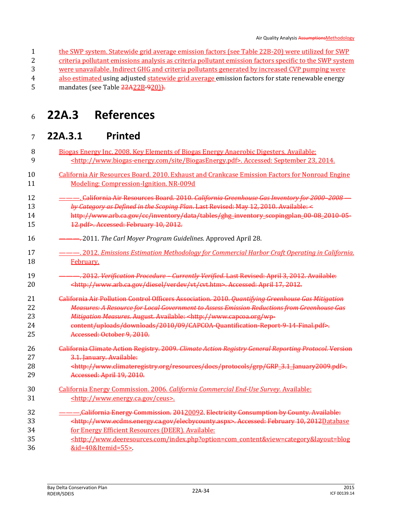- the SWP system. Statewide grid average emission factors (see Table 22B-20) were utilized for SWP
- criteria pollutant emissions analysis as criteria pollutant emission factors specific to the SWP system
- were unavailable. Indirect GHG and criteria pollutants generated by increased CVP pumping were
- 4 also estimated using adjusted statewide grid average emission factors for state renewable energy 5 mandates (see Table  $\frac{22A22B-920}{?}$
- 

## **22A.3 References**

### **22A.3.1 Printed**

- Biogas Energy Inc. 2008. Key Elements of Biogas Energy Anaerobic Digesters. Available: <http://www.biogas-energy.com/site/BiogasEnergy.pdf>. Accessed: September 23, 2014.
- California Air Resources Board. 2010. Exhaust and Crankcase Emission Factors for Nonroad Engine Modeling: Compression-Ignition. NR-009d
- ———. California Air Resources Board. 2010. *California Greenhouse Gas Inventory for 2000–2008 — by Category as Defined in the Scoping Plan*. Last Revised: May 12, 2010. Available: <
- 14 http://www.arb.ca.gov/cc/inventory/data/tables/ghg\_inventory\_scopingplan\_00\_08\_2010-05-12.pdf>. Accessed: February 10, 2012.
- ———. 2011. *The Carl Moyer Program Guidelines*. Approved April 28.
- ———. 2012. *Emissions Estimation Methodology for Commercial Harbor Craft Operating in California*. February.
- ———. 2012. *Verification Procedure – Currently Verified*. Last Revised: April 3, 2012. Available: <http://www.arb.ca.gov/diesel/verdev/vt/cvt.htm>. Accessed: April 17, 2012.
- California Air Pollution Control Officers Association. 2010. *Quantifying Greenhouse Gas Mitigation Measures: A Resource for Local Government to Assess Emission Reductions from Greenhouse Gas Mitigation Measures*. August. Available: <http://www.capcoa.org/wp-content/uploads/downloads/2010/09/CAPCOA-Quantification-Report-9-14-Final.pdf>.
- Accessed: October 9, 2010.
- California Climate Action Registry. 2009. *Climate Action Registry General Reporting Protocol*. Version 3.1. January. Available:
- <http://www.climateregistry.org/resources/docs/protocols/grp/GRP\_3.1\_January2009.pdf>. Accessed: April 19, 2010.
- California Energy Commission. 2006. *California Commercial End-Use Survey*. Available: <http://www.energy.ca.gov/ceus>.
- 32 ———California Energy Commission. 20120092. Electricity Consumption by County. Available: <http://www.ecdms.energy.ca.gov/elecbycounty.aspx>. Accessed: February 10, 2012Database for Energy Efficient Resources (DEER). Available:
- <http://www.deeresources.com/index.php?option=com\_content&view=category&layout=blog &id=40&Itemid=55>.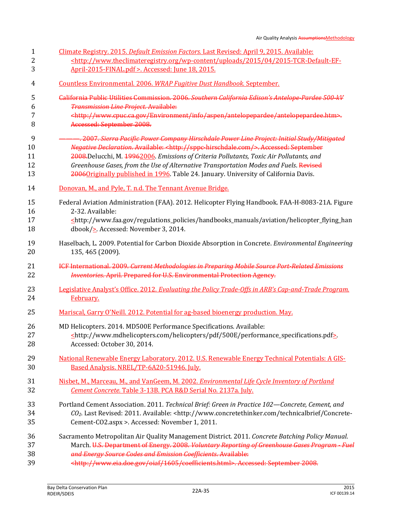| Climate Registry. 2015. <i>Default Emission Factors</i> . Last Revised: April 9, 2015. Available:                                 |
|-----------------------------------------------------------------------------------------------------------------------------------|
| <http: 04="" 2015="" 2015-tcr-default-ef-<="" th="" uploads="" wp-content="" www.theclimateregistry.org=""></http:>               |
| April-2015-FINAL.pdf >. Accessed: June 18, 2015.                                                                                  |
| Countless Environmental. 2006. WRAP Fugitive Dust Handbook. September.                                                            |
| California Public Utilities Commission. 2006. Southern California Edison's Antelope-Pardee 500-kV                                 |
| <b>Transmission Line Project. Available:</b>                                                                                      |
| <http: antelopepardee="" antelopepardee.htm="" aspen="" environment="" info="" www.cpuc.ca.gov="">.</http:>                       |
| Accessed: September 2008.                                                                                                         |
| <u>———. 2007. Sierra Pacific Power Company Hirschdale Power Line Project: Initial Study/Mitigated</u>                             |
| Negative Declaration. Available: <http: sppc-hirschdale.com=""></http:> . Accessed: September                                     |
| 2008. Delucchi, M. 19962006. Emissions of Criteria Pollutants, Toxic Air Pollutants, and                                          |
| Greenhouse Gases, from the Use of Alternative Transportation Modes and Fuels. Revised                                             |
| 2006 Originally published in 1996. Table 24. January. University of California Davis.                                             |
| Donovan, M., and Pyle, T. n.d. The Tennant Avenue Bridge.                                                                         |
| Federal Aviation Administration (FAA). 2012. Helicopter Flying Handbook. FAA-H-8083-21A. Figure                                   |
| 2-32. Available:                                                                                                                  |
| $\leq$ http://www.faa.gov/regulations_policies/handbooks_manuals/aviation/helicopter_flying_han                                   |
| dbook/ $\ge$ Accessed: November 3, 2014.                                                                                          |
| Haselbach, L. 2009. Potential for Carbon Dioxide Absorption in Concrete. Environmental Engineering                                |
| 135, 465 (2009).                                                                                                                  |
| ICF International. 2009. Current Methodologies in Preparing Mobile Source Port Related Emissions                                  |
| <b>Inventories. April. Prepared for U.S. Environmental Protection Agency.</b>                                                     |
| Legislative Analyst's Office. 2012. Evaluating the Policy Trade-Offs in ARB's Cap-and-Trade Program.                              |
| February.                                                                                                                         |
| Mariscal, Garry O'Neill. 2012. Potential for ag-based bioenergy production. May.                                                  |
| MD Helicopters. 2014. MD500E Performance Specifications. Available:                                                               |
| <http: 500e="" helicopters="" pdf="" performance_specifications.pdf="" www.mdhelicopters.com=""></http:>                          |
| Accessed: October 30, 2014.                                                                                                       |
| National Renewable Energy Laboratory. 2012. U.S. Renewable Energy Technical Potentials: A GIS-                                    |
| Based Analysis. NREL/TP-6A20-51946. July.                                                                                         |
| Nisbet, M., Marceau, M., and VanGeem, M. 2002. Environmental Life Cycle Inventory of Portland                                     |
| Cement Concrete. Table 3-13B. PCA R&D Serial No. 2137a. July.                                                                     |
| Portland Cement Association. 2011. Technical Brief: Green in Practice 102-Concrete, Cement, and                                   |
| CO <sub>2</sub> . Last Revised: 2011. Available: <http: concrete-<="" td="" technicalbrief="" www.concretethinker.com=""></http:> |
| Cement-CO2.aspx >. Accessed: November 1, 2011.                                                                                    |
| Sacramento Metropolitan Air Quality Management District. 2011. Concrete Batching Policy Manual.                                   |
| March. U.S. Department of Energy. 2008. Voluntary Reporting of Greenhouse Gases Program - Fuel                                    |
| and Energy Source Codes and Emission Coefficients. Available:                                                                     |
| <http: 1605="" coefficients.html="" oiaf="" www.eia.doe.gov="">. Accessed: September 2008.</http:>                                |
|                                                                                                                                   |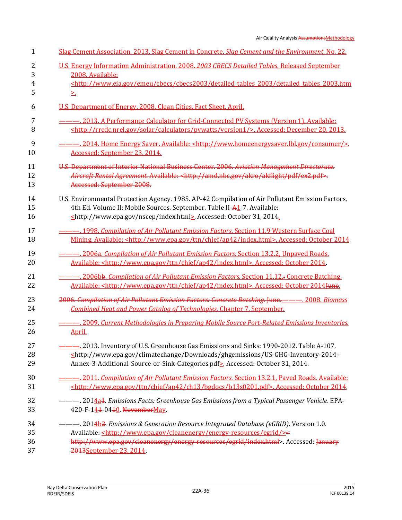| 1              | Slag Cement Association. 2013. Slag Cement in Concrete. Slag Cement and the Environment, No. 22.                        |
|----------------|-------------------------------------------------------------------------------------------------------------------------|
| 2              | U.S. Energy Information Administration. 2008. 2003 CBECS Detailed Tables. Released September                            |
| 3              | 2008. Available:                                                                                                        |
| $\overline{4}$ | <http: cbecs="" cbecs2003="" detailed_tables_2003="" detailed_tables_2003.htm<="" emeu="" td="" www.eia.gov=""></http:> |
| 5              | ≥.                                                                                                                      |
| 6              | U.S. Department of Energy. 2008. Clean Cities. Fact Sheet. April.                                                       |
| 7              |                                                                                                                         |
| 8              | <http: calculators="" pywatts="" rredc.nrel.gov="" solar="" version1=""></http:> . Accessed: December 20, 2013.         |
| 9              |                                                                                                                         |
| 10             | Accessed: September 23, 2014.                                                                                           |
| 11             | U.S. Department of Interior National Business Center. 2006. Aviation Management Directorate.                            |
| 12             | Aircraft Rental Agreement. Available: <http: akflight="" akro="" amd.nbc.gov="" ex2.pdf="" pdf="">.</http:>             |
| 13             | Accessed: September 2008.                                                                                               |
| 14             | U.S. Environmental Protection Agency. 1985. AP-42 Compilation of Air Pollutant Emission Factors,                        |
| 15             | 4th Ed. Volume II: Mobile Sources. September. Table II-A1-7. Available:                                                 |
| 16             | shttp://www.epa.gov/nscep/index.html>. Accessed: October 31, 2014.                                                      |
| 17             | ---- 1998. Compilation of Air Pollutant Emission Factors. Section 11.9 Western Surface Coal                             |
| 18             | Mining. Available: <http: ap42="" chief="" index.html="" ttn="" www.epa.gov="">. Accessed: October 2014.</http:>        |
| 19             | <u>---, 2006a. Compilation of Air Pollutant Emission Factors. Section 13.2.2, Unpaved Roads.</u>                        |
| 20             | Available: <http: ap42="" chief="" index.html="" ttn="" www.epa.gov="">. Accessed: October 2014.</http:>                |
| 21             | <u>--- 2006bb. Compilation of Air Pollutant Emission Factors. Section 11.12.÷ Concrete Batching.</u>                    |
| 22             | Available: <http: ap42="" chief="" index.html="" ttn="" www.epa.gov="">. Accessed: October 2014 Hune.</http:>           |
| 23             | 2006. Compilation of Air Pollutant Emission Factors: Concrete Batching. June. _______. 2008. Biomass                    |
| 24             | <b>Combined Heat and Power Catalog of Technologies. Chapter 7. September.</b>                                           |
| 25             | -- 2009. Current Methodologies in Preparing Mobile Source Port-Related Emissions Inventories.                           |
| 26             | April.                                                                                                                  |
| 27             | -2013. Inventory of U.S. Greenhouse Gas Emissions and Sinks: 1990-2012. Table A-107.                                    |
| 28             | <http: climatechange="" downloads="" ghgemissions="" td="" us-ghg-inventory-2014-<="" www.epa.gov=""></http:>           |
| 29             | Annex-3-Additional-Source-or-Sink-Categories.pdf> Accessed: October 31, 2014.                                           |
| 30             | -- 2011. Compilation of Air Pollutant Emission Factors. Section 13.2.1, Paved Roads. Available:                         |
| 31             | <http: ap42="" b13s0201.pdf="" bgdocs="" ch13="" chief="" ttn="" www.epa.gov="">. Accessed: October 2014.</http:>       |
| 32             | ---------------- 2014a4. Emissions Facts: Greenhouse Gas Emissions from a Typical Passenger Vehicle. EPA-               |
| 33             | 420-F-144-0440 NovemberMay                                                                                              |
| 34             | ---------------- 2014b2. Emissions & Generation Resource Integrated Database (eGRID). Version 1.0.                      |
| 35             | Available: <http: cleanenergy="" egrid="" energy-resources="" www.epa.gov=""></http:> <                                 |
| 36             | http://www.epa.gov/cleanenergy/energy-resources/egrid/index.html> Accessed: January                                     |
| 37             | 2013 September 23, 2014                                                                                                 |